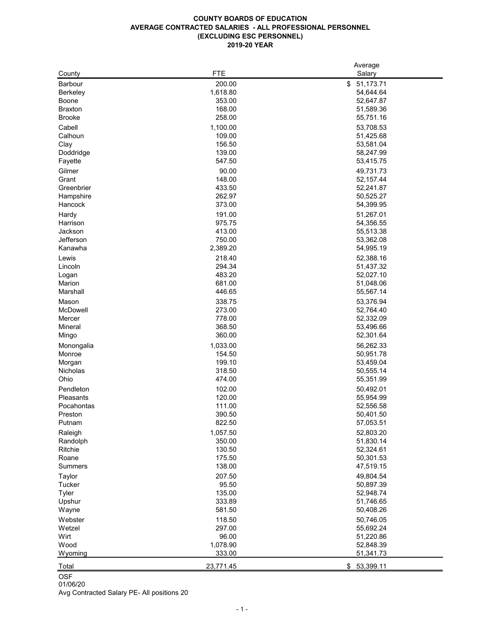| 200.00<br>\$<br>51,173.71<br><b>Barbour</b><br>1,618.80<br>54,644.64<br><b>Berkeley</b><br>353.00<br>52,647.87<br><b>Boone</b><br>168.00<br><b>Braxton</b><br>51,589.36<br>258.00<br><b>Brooke</b><br>55,751.16<br>Cabell<br>1,100.00<br>53,708.53<br>Calhoun<br>109.00<br>51,425.68<br>156.50<br>53,581.04<br>Clay<br>139.00<br>Doddridge<br>58,247.99<br>547.50<br>53,415.75<br>Fayette<br>90.00<br>Gilmer<br>49,731.73<br>148.00<br>Grant<br>52,157.44<br>433.50<br>52,241.87<br>Greenbrier<br>262.97<br>Hampshire<br>50,525.27<br>373.00<br>Hancock<br>54,399.95<br>191.00<br>Hardy<br>51,267.01<br>975.75<br>54,356.55<br>Harrison<br>413.00<br>Jackson<br>55,513.38<br>750.00<br>Jefferson<br>53,362.08<br>2,389.20<br>Kanawha<br>54,995.19<br>218.40<br>Lewis<br>52,388.16<br>294.34<br>51,437.32<br>Lincoln<br>483.20<br>52,027.10<br>Logan<br>681.00<br>Marion<br>51,048.06<br>Marshall<br>446.65<br>55,567.14<br>338.75<br>53,376.94<br>Mason<br>McDowell<br>273.00<br>52,764.40<br>52,332.09<br>778.00<br>Mercer<br>368.50<br>53,496.66<br>Mineral<br>360.00<br>52,301.64<br>Mingo<br>1,033.00<br>56,262.33<br>Monongalia<br>154.50<br>50,951.78<br>Monroe<br>199.10<br>53,459.04<br>Morgan<br>318.50<br>Nicholas<br>50,555.14<br>Ohio<br>474.00<br>55,351.99<br>Pendleton<br>102.00<br>50,492.01<br>120.00<br>55,954.99<br>Pleasants<br>111.00<br>Pocahontas<br>52,556.58<br>390.50<br>50,401.50<br>Preston<br>822.50<br>Putnam<br>57,053.51<br>52,803.20<br>Raleigh<br>1,057.50<br>350.00<br>Randolph<br>51,830.14<br>130.50<br>Ritchie<br>52,324.61<br>175.50<br>Roane<br>50,301.53<br>138.00<br>47,519.15<br><b>Summers</b><br>207.50<br><b>Taylor</b><br>49,804.54<br>95.50<br><b>Tucker</b><br>50,897.39<br>135.00<br><b>Tyler</b><br>52,948.74<br>333.89<br>Upshur<br>51,746.65<br>581.50<br>50,408.26<br>Wayne<br>118.50<br>Webster<br>50,746.05<br>297.00<br>55,692.24<br>Wetzel<br>96.00<br>Wirt<br>51,220.86<br>1,078.90<br>Wood<br>52,848.39<br>333.00<br>Wyoming<br>51,341.73<br>23,771.45<br>Total<br>\$<br>53,399.11 |        |            | Average |
|------------------------------------------------------------------------------------------------------------------------------------------------------------------------------------------------------------------------------------------------------------------------------------------------------------------------------------------------------------------------------------------------------------------------------------------------------------------------------------------------------------------------------------------------------------------------------------------------------------------------------------------------------------------------------------------------------------------------------------------------------------------------------------------------------------------------------------------------------------------------------------------------------------------------------------------------------------------------------------------------------------------------------------------------------------------------------------------------------------------------------------------------------------------------------------------------------------------------------------------------------------------------------------------------------------------------------------------------------------------------------------------------------------------------------------------------------------------------------------------------------------------------------------------------------------------------------------------------------------------------------------------------------------------------------------------------------------------------------------------------------------------------------------------------------------------------------------------------------------------------------------------------------------------------------------------------------------------------------------------------------------------------------------------------|--------|------------|---------|
|                                                                                                                                                                                                                                                                                                                                                                                                                                                                                                                                                                                                                                                                                                                                                                                                                                                                                                                                                                                                                                                                                                                                                                                                                                                                                                                                                                                                                                                                                                                                                                                                                                                                                                                                                                                                                                                                                                                                                                                                                                                | County | <b>FTE</b> | Salary  |
|                                                                                                                                                                                                                                                                                                                                                                                                                                                                                                                                                                                                                                                                                                                                                                                                                                                                                                                                                                                                                                                                                                                                                                                                                                                                                                                                                                                                                                                                                                                                                                                                                                                                                                                                                                                                                                                                                                                                                                                                                                                |        |            |         |
|                                                                                                                                                                                                                                                                                                                                                                                                                                                                                                                                                                                                                                                                                                                                                                                                                                                                                                                                                                                                                                                                                                                                                                                                                                                                                                                                                                                                                                                                                                                                                                                                                                                                                                                                                                                                                                                                                                                                                                                                                                                |        |            |         |
|                                                                                                                                                                                                                                                                                                                                                                                                                                                                                                                                                                                                                                                                                                                                                                                                                                                                                                                                                                                                                                                                                                                                                                                                                                                                                                                                                                                                                                                                                                                                                                                                                                                                                                                                                                                                                                                                                                                                                                                                                                                |        |            |         |
|                                                                                                                                                                                                                                                                                                                                                                                                                                                                                                                                                                                                                                                                                                                                                                                                                                                                                                                                                                                                                                                                                                                                                                                                                                                                                                                                                                                                                                                                                                                                                                                                                                                                                                                                                                                                                                                                                                                                                                                                                                                |        |            |         |
|                                                                                                                                                                                                                                                                                                                                                                                                                                                                                                                                                                                                                                                                                                                                                                                                                                                                                                                                                                                                                                                                                                                                                                                                                                                                                                                                                                                                                                                                                                                                                                                                                                                                                                                                                                                                                                                                                                                                                                                                                                                |        |            |         |
|                                                                                                                                                                                                                                                                                                                                                                                                                                                                                                                                                                                                                                                                                                                                                                                                                                                                                                                                                                                                                                                                                                                                                                                                                                                                                                                                                                                                                                                                                                                                                                                                                                                                                                                                                                                                                                                                                                                                                                                                                                                |        |            |         |
|                                                                                                                                                                                                                                                                                                                                                                                                                                                                                                                                                                                                                                                                                                                                                                                                                                                                                                                                                                                                                                                                                                                                                                                                                                                                                                                                                                                                                                                                                                                                                                                                                                                                                                                                                                                                                                                                                                                                                                                                                                                |        |            |         |
|                                                                                                                                                                                                                                                                                                                                                                                                                                                                                                                                                                                                                                                                                                                                                                                                                                                                                                                                                                                                                                                                                                                                                                                                                                                                                                                                                                                                                                                                                                                                                                                                                                                                                                                                                                                                                                                                                                                                                                                                                                                |        |            |         |
|                                                                                                                                                                                                                                                                                                                                                                                                                                                                                                                                                                                                                                                                                                                                                                                                                                                                                                                                                                                                                                                                                                                                                                                                                                                                                                                                                                                                                                                                                                                                                                                                                                                                                                                                                                                                                                                                                                                                                                                                                                                |        |            |         |
|                                                                                                                                                                                                                                                                                                                                                                                                                                                                                                                                                                                                                                                                                                                                                                                                                                                                                                                                                                                                                                                                                                                                                                                                                                                                                                                                                                                                                                                                                                                                                                                                                                                                                                                                                                                                                                                                                                                                                                                                                                                |        |            |         |
|                                                                                                                                                                                                                                                                                                                                                                                                                                                                                                                                                                                                                                                                                                                                                                                                                                                                                                                                                                                                                                                                                                                                                                                                                                                                                                                                                                                                                                                                                                                                                                                                                                                                                                                                                                                                                                                                                                                                                                                                                                                |        |            |         |
|                                                                                                                                                                                                                                                                                                                                                                                                                                                                                                                                                                                                                                                                                                                                                                                                                                                                                                                                                                                                                                                                                                                                                                                                                                                                                                                                                                                                                                                                                                                                                                                                                                                                                                                                                                                                                                                                                                                                                                                                                                                |        |            |         |
|                                                                                                                                                                                                                                                                                                                                                                                                                                                                                                                                                                                                                                                                                                                                                                                                                                                                                                                                                                                                                                                                                                                                                                                                                                                                                                                                                                                                                                                                                                                                                                                                                                                                                                                                                                                                                                                                                                                                                                                                                                                |        |            |         |
|                                                                                                                                                                                                                                                                                                                                                                                                                                                                                                                                                                                                                                                                                                                                                                                                                                                                                                                                                                                                                                                                                                                                                                                                                                                                                                                                                                                                                                                                                                                                                                                                                                                                                                                                                                                                                                                                                                                                                                                                                                                |        |            |         |
|                                                                                                                                                                                                                                                                                                                                                                                                                                                                                                                                                                                                                                                                                                                                                                                                                                                                                                                                                                                                                                                                                                                                                                                                                                                                                                                                                                                                                                                                                                                                                                                                                                                                                                                                                                                                                                                                                                                                                                                                                                                |        |            |         |
|                                                                                                                                                                                                                                                                                                                                                                                                                                                                                                                                                                                                                                                                                                                                                                                                                                                                                                                                                                                                                                                                                                                                                                                                                                                                                                                                                                                                                                                                                                                                                                                                                                                                                                                                                                                                                                                                                                                                                                                                                                                |        |            |         |
|                                                                                                                                                                                                                                                                                                                                                                                                                                                                                                                                                                                                                                                                                                                                                                                                                                                                                                                                                                                                                                                                                                                                                                                                                                                                                                                                                                                                                                                                                                                                                                                                                                                                                                                                                                                                                                                                                                                                                                                                                                                |        |            |         |
|                                                                                                                                                                                                                                                                                                                                                                                                                                                                                                                                                                                                                                                                                                                                                                                                                                                                                                                                                                                                                                                                                                                                                                                                                                                                                                                                                                                                                                                                                                                                                                                                                                                                                                                                                                                                                                                                                                                                                                                                                                                |        |            |         |
|                                                                                                                                                                                                                                                                                                                                                                                                                                                                                                                                                                                                                                                                                                                                                                                                                                                                                                                                                                                                                                                                                                                                                                                                                                                                                                                                                                                                                                                                                                                                                                                                                                                                                                                                                                                                                                                                                                                                                                                                                                                |        |            |         |
|                                                                                                                                                                                                                                                                                                                                                                                                                                                                                                                                                                                                                                                                                                                                                                                                                                                                                                                                                                                                                                                                                                                                                                                                                                                                                                                                                                                                                                                                                                                                                                                                                                                                                                                                                                                                                                                                                                                                                                                                                                                |        |            |         |
|                                                                                                                                                                                                                                                                                                                                                                                                                                                                                                                                                                                                                                                                                                                                                                                                                                                                                                                                                                                                                                                                                                                                                                                                                                                                                                                                                                                                                                                                                                                                                                                                                                                                                                                                                                                                                                                                                                                                                                                                                                                |        |            |         |
|                                                                                                                                                                                                                                                                                                                                                                                                                                                                                                                                                                                                                                                                                                                                                                                                                                                                                                                                                                                                                                                                                                                                                                                                                                                                                                                                                                                                                                                                                                                                                                                                                                                                                                                                                                                                                                                                                                                                                                                                                                                |        |            |         |
|                                                                                                                                                                                                                                                                                                                                                                                                                                                                                                                                                                                                                                                                                                                                                                                                                                                                                                                                                                                                                                                                                                                                                                                                                                                                                                                                                                                                                                                                                                                                                                                                                                                                                                                                                                                                                                                                                                                                                                                                                                                |        |            |         |
|                                                                                                                                                                                                                                                                                                                                                                                                                                                                                                                                                                                                                                                                                                                                                                                                                                                                                                                                                                                                                                                                                                                                                                                                                                                                                                                                                                                                                                                                                                                                                                                                                                                                                                                                                                                                                                                                                                                                                                                                                                                |        |            |         |
|                                                                                                                                                                                                                                                                                                                                                                                                                                                                                                                                                                                                                                                                                                                                                                                                                                                                                                                                                                                                                                                                                                                                                                                                                                                                                                                                                                                                                                                                                                                                                                                                                                                                                                                                                                                                                                                                                                                                                                                                                                                |        |            |         |
|                                                                                                                                                                                                                                                                                                                                                                                                                                                                                                                                                                                                                                                                                                                                                                                                                                                                                                                                                                                                                                                                                                                                                                                                                                                                                                                                                                                                                                                                                                                                                                                                                                                                                                                                                                                                                                                                                                                                                                                                                                                |        |            |         |
|                                                                                                                                                                                                                                                                                                                                                                                                                                                                                                                                                                                                                                                                                                                                                                                                                                                                                                                                                                                                                                                                                                                                                                                                                                                                                                                                                                                                                                                                                                                                                                                                                                                                                                                                                                                                                                                                                                                                                                                                                                                |        |            |         |
|                                                                                                                                                                                                                                                                                                                                                                                                                                                                                                                                                                                                                                                                                                                                                                                                                                                                                                                                                                                                                                                                                                                                                                                                                                                                                                                                                                                                                                                                                                                                                                                                                                                                                                                                                                                                                                                                                                                                                                                                                                                |        |            |         |
|                                                                                                                                                                                                                                                                                                                                                                                                                                                                                                                                                                                                                                                                                                                                                                                                                                                                                                                                                                                                                                                                                                                                                                                                                                                                                                                                                                                                                                                                                                                                                                                                                                                                                                                                                                                                                                                                                                                                                                                                                                                |        |            |         |
|                                                                                                                                                                                                                                                                                                                                                                                                                                                                                                                                                                                                                                                                                                                                                                                                                                                                                                                                                                                                                                                                                                                                                                                                                                                                                                                                                                                                                                                                                                                                                                                                                                                                                                                                                                                                                                                                                                                                                                                                                                                |        |            |         |
|                                                                                                                                                                                                                                                                                                                                                                                                                                                                                                                                                                                                                                                                                                                                                                                                                                                                                                                                                                                                                                                                                                                                                                                                                                                                                                                                                                                                                                                                                                                                                                                                                                                                                                                                                                                                                                                                                                                                                                                                                                                |        |            |         |
|                                                                                                                                                                                                                                                                                                                                                                                                                                                                                                                                                                                                                                                                                                                                                                                                                                                                                                                                                                                                                                                                                                                                                                                                                                                                                                                                                                                                                                                                                                                                                                                                                                                                                                                                                                                                                                                                                                                                                                                                                                                |        |            |         |
|                                                                                                                                                                                                                                                                                                                                                                                                                                                                                                                                                                                                                                                                                                                                                                                                                                                                                                                                                                                                                                                                                                                                                                                                                                                                                                                                                                                                                                                                                                                                                                                                                                                                                                                                                                                                                                                                                                                                                                                                                                                |        |            |         |
|                                                                                                                                                                                                                                                                                                                                                                                                                                                                                                                                                                                                                                                                                                                                                                                                                                                                                                                                                                                                                                                                                                                                                                                                                                                                                                                                                                                                                                                                                                                                                                                                                                                                                                                                                                                                                                                                                                                                                                                                                                                |        |            |         |
|                                                                                                                                                                                                                                                                                                                                                                                                                                                                                                                                                                                                                                                                                                                                                                                                                                                                                                                                                                                                                                                                                                                                                                                                                                                                                                                                                                                                                                                                                                                                                                                                                                                                                                                                                                                                                                                                                                                                                                                                                                                |        |            |         |
|                                                                                                                                                                                                                                                                                                                                                                                                                                                                                                                                                                                                                                                                                                                                                                                                                                                                                                                                                                                                                                                                                                                                                                                                                                                                                                                                                                                                                                                                                                                                                                                                                                                                                                                                                                                                                                                                                                                                                                                                                                                |        |            |         |
|                                                                                                                                                                                                                                                                                                                                                                                                                                                                                                                                                                                                                                                                                                                                                                                                                                                                                                                                                                                                                                                                                                                                                                                                                                                                                                                                                                                                                                                                                                                                                                                                                                                                                                                                                                                                                                                                                                                                                                                                                                                |        |            |         |
|                                                                                                                                                                                                                                                                                                                                                                                                                                                                                                                                                                                                                                                                                                                                                                                                                                                                                                                                                                                                                                                                                                                                                                                                                                                                                                                                                                                                                                                                                                                                                                                                                                                                                                                                                                                                                                                                                                                                                                                                                                                |        |            |         |
|                                                                                                                                                                                                                                                                                                                                                                                                                                                                                                                                                                                                                                                                                                                                                                                                                                                                                                                                                                                                                                                                                                                                                                                                                                                                                                                                                                                                                                                                                                                                                                                                                                                                                                                                                                                                                                                                                                                                                                                                                                                |        |            |         |
|                                                                                                                                                                                                                                                                                                                                                                                                                                                                                                                                                                                                                                                                                                                                                                                                                                                                                                                                                                                                                                                                                                                                                                                                                                                                                                                                                                                                                                                                                                                                                                                                                                                                                                                                                                                                                                                                                                                                                                                                                                                |        |            |         |
|                                                                                                                                                                                                                                                                                                                                                                                                                                                                                                                                                                                                                                                                                                                                                                                                                                                                                                                                                                                                                                                                                                                                                                                                                                                                                                                                                                                                                                                                                                                                                                                                                                                                                                                                                                                                                                                                                                                                                                                                                                                |        |            |         |
|                                                                                                                                                                                                                                                                                                                                                                                                                                                                                                                                                                                                                                                                                                                                                                                                                                                                                                                                                                                                                                                                                                                                                                                                                                                                                                                                                                                                                                                                                                                                                                                                                                                                                                                                                                                                                                                                                                                                                                                                                                                |        |            |         |
|                                                                                                                                                                                                                                                                                                                                                                                                                                                                                                                                                                                                                                                                                                                                                                                                                                                                                                                                                                                                                                                                                                                                                                                                                                                                                                                                                                                                                                                                                                                                                                                                                                                                                                                                                                                                                                                                                                                                                                                                                                                |        |            |         |
|                                                                                                                                                                                                                                                                                                                                                                                                                                                                                                                                                                                                                                                                                                                                                                                                                                                                                                                                                                                                                                                                                                                                                                                                                                                                                                                                                                                                                                                                                                                                                                                                                                                                                                                                                                                                                                                                                                                                                                                                                                                |        |            |         |
|                                                                                                                                                                                                                                                                                                                                                                                                                                                                                                                                                                                                                                                                                                                                                                                                                                                                                                                                                                                                                                                                                                                                                                                                                                                                                                                                                                                                                                                                                                                                                                                                                                                                                                                                                                                                                                                                                                                                                                                                                                                |        |            |         |
|                                                                                                                                                                                                                                                                                                                                                                                                                                                                                                                                                                                                                                                                                                                                                                                                                                                                                                                                                                                                                                                                                                                                                                                                                                                                                                                                                                                                                                                                                                                                                                                                                                                                                                                                                                                                                                                                                                                                                                                                                                                |        |            |         |
|                                                                                                                                                                                                                                                                                                                                                                                                                                                                                                                                                                                                                                                                                                                                                                                                                                                                                                                                                                                                                                                                                                                                                                                                                                                                                                                                                                                                                                                                                                                                                                                                                                                                                                                                                                                                                                                                                                                                                                                                                                                |        |            |         |
|                                                                                                                                                                                                                                                                                                                                                                                                                                                                                                                                                                                                                                                                                                                                                                                                                                                                                                                                                                                                                                                                                                                                                                                                                                                                                                                                                                                                                                                                                                                                                                                                                                                                                                                                                                                                                                                                                                                                                                                                                                                |        |            |         |
|                                                                                                                                                                                                                                                                                                                                                                                                                                                                                                                                                                                                                                                                                                                                                                                                                                                                                                                                                                                                                                                                                                                                                                                                                                                                                                                                                                                                                                                                                                                                                                                                                                                                                                                                                                                                                                                                                                                                                                                                                                                |        |            |         |
|                                                                                                                                                                                                                                                                                                                                                                                                                                                                                                                                                                                                                                                                                                                                                                                                                                                                                                                                                                                                                                                                                                                                                                                                                                                                                                                                                                                                                                                                                                                                                                                                                                                                                                                                                                                                                                                                                                                                                                                                                                                |        |            |         |
|                                                                                                                                                                                                                                                                                                                                                                                                                                                                                                                                                                                                                                                                                                                                                                                                                                                                                                                                                                                                                                                                                                                                                                                                                                                                                                                                                                                                                                                                                                                                                                                                                                                                                                                                                                                                                                                                                                                                                                                                                                                |        |            |         |
|                                                                                                                                                                                                                                                                                                                                                                                                                                                                                                                                                                                                                                                                                                                                                                                                                                                                                                                                                                                                                                                                                                                                                                                                                                                                                                                                                                                                                                                                                                                                                                                                                                                                                                                                                                                                                                                                                                                                                                                                                                                |        |            |         |
|                                                                                                                                                                                                                                                                                                                                                                                                                                                                                                                                                                                                                                                                                                                                                                                                                                                                                                                                                                                                                                                                                                                                                                                                                                                                                                                                                                                                                                                                                                                                                                                                                                                                                                                                                                                                                                                                                                                                                                                                                                                |        |            |         |
|                                                                                                                                                                                                                                                                                                                                                                                                                                                                                                                                                                                                                                                                                                                                                                                                                                                                                                                                                                                                                                                                                                                                                                                                                                                                                                                                                                                                                                                                                                                                                                                                                                                                                                                                                                                                                                                                                                                                                                                                                                                |        |            |         |
|                                                                                                                                                                                                                                                                                                                                                                                                                                                                                                                                                                                                                                                                                                                                                                                                                                                                                                                                                                                                                                                                                                                                                                                                                                                                                                                                                                                                                                                                                                                                                                                                                                                                                                                                                                                                                                                                                                                                                                                                                                                |        |            |         |
|                                                                                                                                                                                                                                                                                                                                                                                                                                                                                                                                                                                                                                                                                                                                                                                                                                                                                                                                                                                                                                                                                                                                                                                                                                                                                                                                                                                                                                                                                                                                                                                                                                                                                                                                                                                                                                                                                                                                                                                                                                                |        |            |         |
|                                                                                                                                                                                                                                                                                                                                                                                                                                                                                                                                                                                                                                                                                                                                                                                                                                                                                                                                                                                                                                                                                                                                                                                                                                                                                                                                                                                                                                                                                                                                                                                                                                                                                                                                                                                                                                                                                                                                                                                                                                                |        |            |         |

# OSF

01/06/20

Avg Contracted Salary PE- All positions 20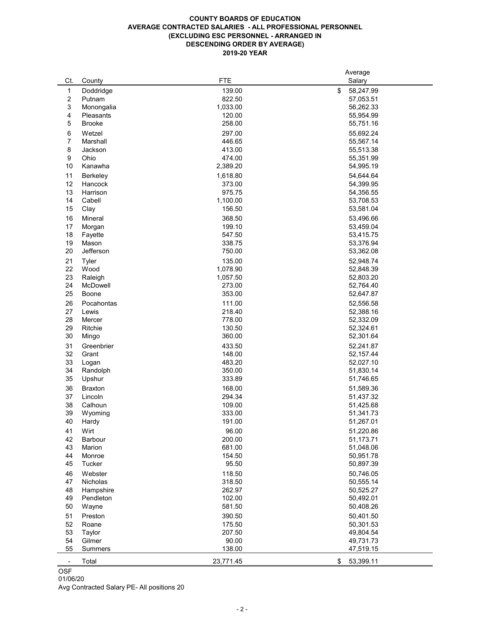# **COUNTY BOARDS OF EDUCATION AVERAGE CONTRACTED SALARIES - ALL PROFESSIONAL PERSONNEL (EXCLUDING ESC PERSONNEL - ARRANGED IN DESCENDING ORDER BY AVERAGE) 2019-20 YEAR**

|                          |                                           |            | Average         |
|--------------------------|-------------------------------------------|------------|-----------------|
| Ct.                      | County                                    | <b>FTE</b> | Salary          |
| $\mathbf 1$              | Doddridge                                 | 139.00     | \$<br>58,247.99 |
| $\overline{2}$           | Putnam                                    | 822.50     | 57,053.51       |
| 3                        | Monongalia                                | 1,033.00   | 56,262.33       |
| 4                        | Pleasants                                 | 120.00     | 55,954.99       |
| 5                        | <b>Brooke</b>                             | 258.00     | 55,751.16       |
|                          |                                           |            |                 |
| 6                        | Wetzel                                    | 297.00     | 55,692.24       |
| 7                        | Marshall                                  | 446.65     | 55,567.14       |
| 8                        | Jackson                                   | 413.00     | 55,513.38       |
| 9                        | Ohio                                      | 474.00     | 55,351.99       |
| 10                       | Kanawha                                   | 2,389.20   | 54,995.19       |
| 11                       | <b>Berkeley</b>                           | 1,618.80   | 54,644.64       |
| 12                       | <b>Hancock</b>                            | 373.00     | 54,399.95       |
| 13                       | Harrison                                  | 975.75     | 54,356.55       |
| 14                       | Cabell                                    | 1,100.00   | 53,708.53       |
| 15                       | Clay                                      | 156.50     | 53,581.04       |
|                          |                                           |            |                 |
| 16                       | <b>Mineral</b>                            | 368.50     | 53,496.66       |
| 17                       | Morgan                                    | 199.10     | 53,459.04       |
| 18                       | Fayette                                   | 547.50     | 53,415.75       |
| 19                       | Mason                                     | 338.75     | 53,376.94       |
| 20                       | Jefferson                                 | 750.00     | 53,362.08       |
| 21                       | <b>Tyler</b>                              | 135.00     | 52,948.74       |
| 22                       | Wood                                      | 1,078.90   | 52,848.39       |
| 23                       | Raleigh                                   | 1,057.50   | 52,803.20       |
| 24                       | McDowell                                  | 273.00     | 52,764.40       |
| 25                       | <b>Boone</b>                              | 353.00     | 52,647.87       |
|                          |                                           |            |                 |
| 26                       | Pocahontas                                | 111.00     | 52,556.58       |
| 27                       | Lewis                                     | 218.40     | 52,388.16       |
| 28                       | Mercer                                    | 778.00     | 52,332.09       |
| 29                       | Ritchie                                   | 130.50     | 52,324.61       |
| 30                       | Mingo                                     | 360.00     | 52,301.64       |
| 31                       | Greenbrier                                | 433.50     | 52,241.87       |
| 32                       | Grant                                     | 148.00     | 52,157.44       |
| 33                       | Logan                                     | 483.20     | 52,027.10       |
| 34                       | Randolph                                  | 350.00     | 51,830.14       |
| 35                       | Upshur                                    | 333.89     | 51,746.65       |
|                          |                                           |            |                 |
| 36                       | <b>Braxton</b>                            | 168.00     | 51,589.36       |
| 37                       | Lincoln                                   | 294.34     | 51,437.32       |
| 38                       | Calhoun                                   | 109.00     | 51,425.68       |
| 39                       | Wyoming                                   | 333.00     | 51,341.73       |
| 40                       | Hardy                                     | 191.00     | 51,267.01       |
| 41                       | Wirt                                      | 96.00      | 51,220.86       |
| 42                       | <b>Barbour</b>                            | 200.00     | 51,173.71       |
| 43                       | Marion                                    | 681.00     | 51,048.06       |
| 44                       | Monroe                                    | 154.50     | 50,951.78       |
| 45                       | <b>Tucker</b>                             | 95.50      | 50,897.39       |
| 46                       | Webster                                   | 118.50     | 50,746.05       |
| 47                       | <b>Nicholas</b>                           | 318.50     |                 |
|                          |                                           |            | 50,555.14       |
| 48                       | Hampshire                                 | 262.97     | 50,525.27       |
| 49                       | Pendleton                                 | 102.00     | 50,492.01       |
| 50                       | Wayne                                     | 581.50     | 50,408.26       |
| 51                       | Preston                                   | 390.50     | 50,401.50       |
| 52                       | Roane                                     | 175.50     | 50,301.53       |
| 53                       | Taylor                                    | 207.50     | 49,804.54       |
| 54                       | Gilmer                                    | 90.00      | 49,731.73       |
| 55                       | <b>Summers</b>                            | 138.00     | 47,519.15       |
|                          |                                           |            |                 |
| $\overline{\phantom{a}}$ | Total                                     | 23,771.45  | 53,399.11<br>\$ |
| <b>OSF</b>               |                                           |            |                 |
| 01/06/20                 |                                           |            |                 |
|                          | Avg Contracted Salary DE All positions 20 |            |                 |

Avg Contracted Salary PE- All positions 20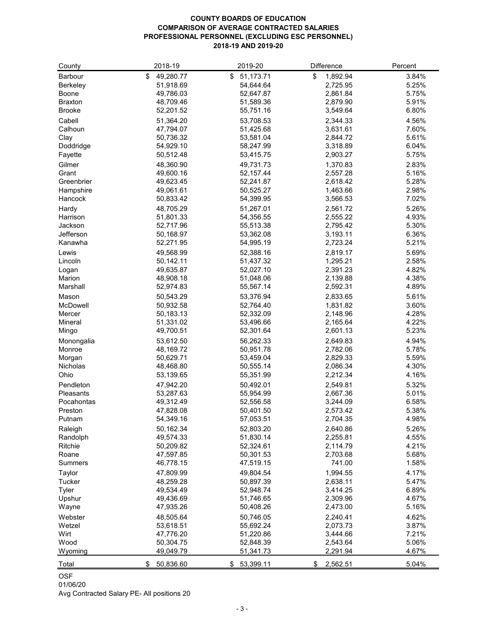# **COUNTY BOARDS OF EDUCATION COMPARISON OF AVERAGE CONTRACTED SALARIES PROFESSIONAL PERSONNEL (EXCLUDING ESC PERSONNEL) 2018-19 AND 2019-20**

| County           | 2018-19                     | 2019-20                | Difference     | Percent |
|------------------|-----------------------------|------------------------|----------------|---------|
| <b>Barbour</b>   | $\mathfrak{L}$<br>49,280.77 | 51,173.71<br>\$        | \$<br>1,892.94 | 3.84%   |
| <b>Berkeley</b>  | 51,918.69                   | 54,644.64              | 2,725.95       | 5.25%   |
| <b>Boone</b>     | 49,786.03                   | 52,647.87              | 2,861.84       | 5.75%   |
| <b>Braxton</b>   | 48,709.46                   | 51,589.36              | 2,879.90       | 5.91%   |
| <b>Brooke</b>    | 52,201.52                   | 55,751.16              | 3,549.64       | 6.80%   |
| Cabell           | 51,364.20                   | 53,708.53              | 2,344.33       | 4.56%   |
| Calhoun          | 47,794.07                   | 51,425.68              | 3,631.61       | 7.60%   |
| Clay             | 50,736.32                   | 53,581.04              | 2,844.72       | 5.61%   |
| Doddridge        | 54,929.10                   | 58,247.99              | 3,318.89       | 6.04%   |
| Fayette          | 50,512.48                   | 53,415.75              | 2,903.27       | 5.75%   |
| Gilmer           | 48,360.90                   | 49,731.73              | 1,370.83       | 2.83%   |
| Grant            | 49,600.16                   | 52,157.44              | 2,557.28       | 5.16%   |
| Greenbrier       | 49,623.45                   | 52,241.87              | 2,618.42       | 5.28%   |
| Hampshire        | 49,061.61                   | 50,525.27              | 1,463.66       | 2.98%   |
| Hancock          | 50,833.42                   | 54,399.95              | 3,566.53       | 7.02%   |
| Hardy            | 48,705.29                   | 51,267.01              | 2,561.72       | 5.26%   |
| Harrison         | 51,801.33                   | 54,356.55              | 2,555.22       | 4.93%   |
| Jackson          | 52,717.96                   | 55,513.38              | 2,795.42       | 5.30%   |
| Jefferson        | 50,168.97                   | 53,362.08              | 3,193.11       | 6.36%   |
| Kanawha          | 52,271.95                   | 54,995.19              | 2,723.24       | 5.21%   |
| Lewis            | 49,568.99                   | 52,388.16              | 2,819.17       | 5.69%   |
| Lincoln          | 50,142.11                   | 51,437.32              | 1,295.21       | 2.58%   |
|                  | 49,635.87                   | 52,027.10              | 2,391.23       | 4.82%   |
| Logan<br>Marion  | 48,908.18                   | 51,048.06              | 2,139.88       | 4.38%   |
| Marshall         | 52,974.83                   | 55,567.14              | 2,592.31       | 4.89%   |
|                  |                             |                        |                |         |
| Mason            | 50,543.29                   | 53,376.94              | 2,833.65       | 5.61%   |
| McDowell         | 50,932.58                   | 52,764.40              | 1,831.82       | 3.60%   |
| Mercer           | 50,183.13                   | 52,332.09              | 2,148.96       | 4.28%   |
| <b>Mineral</b>   | 51,331.02<br>49,700.51      | 53,496.66<br>52,301.64 | 2,165.64       | 4.22%   |
| Mingo            |                             |                        | 2,601.13       | 5.23%   |
| Monongalia       | 53,612.50                   | 56,262.33              | 2,649.83       | 4.94%   |
| Monroe           | 48,169.72                   | 50,951.78              | 2,782.06       | 5.78%   |
| Morgan           | 50,629.71                   | 53,459.04              | 2,829.33       | 5.59%   |
| Nicholas         | 48,468.80                   | 50,555.14              | 2,086.34       | 4.30%   |
| Ohio             | 53,139.65                   | 55,351.99              | 2,212.34       | 4.16%   |
| Pendleton        | 47,942.20                   | 50,492.01              | 2,549.81       | 5.32%   |
| <b>Pleasants</b> | 53,287.63                   | 55,954.99              | 2,667.36       | 5.01%   |
| Pocahontas       | 49,312.49                   | 52,556.58              | 3,244.09       | 6.58%   |
| Preston          | 47,828.08                   | 50,401.50              | 2,573.42       | 5.38%   |
| Putnam           | 54,349.16                   | 57,053.51              | 2,704.35       | 4.98%   |
| Raleigh          | 50,162.34                   | 52,803.20              | 2,640.86       | 5.26%   |
| Randolph         | 49,574.33                   | 51,830.14              | 2,255.81       | 4.55%   |
| Ritchie          | 50,209.82                   | 52,324.61              | 2,114.79       | 4.21%   |
| Roane            | 47,597.85                   | 50,301.53              | 2,703.68       | 5.68%   |
| <b>Summers</b>   | 46,778.15                   | 47,519.15              | 741.00         | 1.58%   |
| Taylor           | 47,809.99                   | 49,804.54              | 1,994.55       | 4.17%   |
| <b>Tucker</b>    | 48,259.28                   | 50,897.39              | 2,638.11       | 5.47%   |
| Tyler            | 49,534.49                   | 52,948.74              | 3,414.25       | 6.89%   |
| Upshur           | 49,436.69                   | 51,746.65              | 2,309.96       | 4.67%   |
| Wayne            | 47,935.26                   | 50,408.26              | 2,473.00       | 5.16%   |
| Webster          | 48,505.64                   | 50,746.05              | 2,240.41       | 4.62%   |
| Wetzel           | 53,618.51                   | 55,692.24              | 2,073.73       | 3.87%   |
| Wirt             | 47,776.20                   | 51,220.86              | 3,444.66       | 7.21%   |
| Wood             | 50,304.75                   | 52,848.39              | 2,543.64       | 5.06%   |
| Wyoming          | 49,049.79                   | 51,341.73              | 2,291.94       | 4.67%   |
| Total            | 50,836.60<br>S              | 53,399.11<br>\$        | 2,562.51<br>\$ | 5.04%   |

OSF 01/06/20

Avg Contracted Salary PE- All positions 20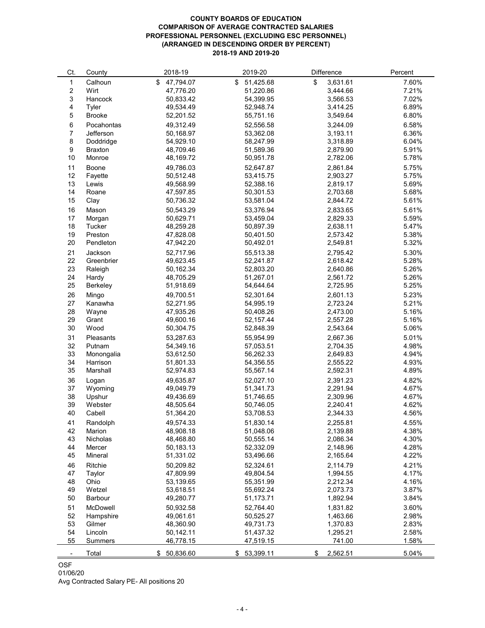# **COUNTY BOARDS OF EDUCATION COMPARISON OF AVERAGE CONTRACTED SALARIES PROFESSIONAL PERSONNEL (EXCLUDING ESC PERSONNEL) (ARRANGED IN DESCENDING ORDER BY PERCENT) 2018-19 AND 2019-20**

| Ct.            | County            | 2018-19                | 2019-20         | Difference     | Percent        |
|----------------|-------------------|------------------------|-----------------|----------------|----------------|
| 1              | Calhoun           | \$<br>47,794.07        | 51,425.68<br>\$ | \$<br>3,631.61 | 7.60%          |
| $\overline{c}$ | Wirt              | 47,776.20              | 51,220.86       | 3,444.66       | 7.21%          |
| 3              | Hancock           | 50,833.42              | 54,399.95       | 3,566.53       | 7.02%          |
| 4              | Tyler             | 49,534.49              | 52,948.74       | 3,414.25       | 6.89%          |
| 5              | <b>Brooke</b>     | 52,201.52              | 55,751.16       | 3,549.64       | 6.80%          |
|                |                   |                        |                 |                |                |
| 6              | Pocahontas        | 49,312.49              | 52,556.58       | 3,244.09       | 6.58%          |
| $\overline{7}$ | Jefferson         | 50,168.97              | 53,362.08       | 3,193.11       | 6.36%          |
| 8              | Doddridge         | 54,929.10              | 58,247.99       | 3,318.89       | 6.04%          |
| 9              | <b>Braxton</b>    | 48,709.46              | 51,589.36       | 2,879.90       | 5.91%          |
| 10             | Monroe            | 48,169.72              | 50,951.78       | 2,782.06       | 5.78%          |
| 11             | <b>Boone</b>      | 49,786.03              | 52,647.87       | 2,861.84       | 5.75%          |
| 12             | Fayette           | 50,512.48              | 53,415.75       | 2,903.27       | 5.75%          |
| 13             | Lewis             | 49,568.99              | 52,388.16       | 2,819.17       | 5.69%          |
| 14             | Roane             | 47,597.85              | 50,301.53       | 2,703.68       | 5.68%          |
| 15             | Clay              | 50,736.32              | 53,581.04       | 2,844.72       | 5.61%          |
| 16             | Mason             | 50,543.29              | 53,376.94       | 2,833.65       | 5.61%          |
| 17             | Morgan            | 50,629.71              | 53,459.04       | 2,829.33       | 5.59%          |
| 18             | Tucker            | 48,259.28              | 50,897.39       | 2,638.11       | 5.47%          |
| 19             | Preston           | 47,828.08              | 50,401.50       | 2,573.42       | 5.38%          |
| 20             | Pendleton         | 47,942.20              | 50,492.01       | 2,549.81       | 5.32%          |
| 21             | Jackson           | 52,717.96              | 55,513.38       | 2,795.42       | 5.30%          |
| 22             | Greenbrier        | 49,623.45              | 52,241.87       | 2,618.42       | 5.28%          |
| 23             | Raleigh           | 50,162.34              | 52,803.20       | 2,640.86       | 5.26%          |
| 24             | Hardy             | 48,705.29              | 51,267.01       | 2,561.72       | 5.26%          |
| 25             | <b>Berkeley</b>   | 51,918.69              | 54,644.64       | 2,725.95       | 5.25%          |
|                |                   |                        |                 |                |                |
| 26             | Mingo             | 49,700.51              | 52,301.64       | 2,601.13       | 5.23%          |
| 27             | Kanawha           | 52,271.95              | 54,995.19       | 2,723.24       | 5.21%          |
| 28             | Wayne             | 47,935.26              | 50,408.26       | 2,473.00       | 5.16%          |
| 29             | Grant             | 49,600.16              | 52,157.44       | 2,557.28       | 5.16%          |
| 30             | Wood              | 50,304.75              | 52,848.39       | 2,543.64       | 5.06%          |
| 31             | <b>Pleasants</b>  | 53,287.63              | 55,954.99       | 2,667.36       | 5.01%          |
| 32             | Putnam            | 54,349.16              | 57,053.51       | 2,704.35       | 4.98%          |
| 33             | Monongalia        | 53,612.50              | 56,262.33       | 2,649.83       | 4.94%          |
| 34             | Harrison          | 51,801.33              | 54,356.55       | 2,555.22       | 4.93%          |
| 35             | Marshall          | 52,974.83              | 55,567.14       | 2,592.31       | 4.89%          |
| 36             | Logan             | 49,635.87              | 52,027.10       | 2,391.23       | 4.82%          |
| 37             | Wyoming           | 49,049.79              | 51,341.73       | 2,291.94       | 4.67%          |
| 38             | Upshur            | 49,436.69              | 51,746.65       | 2,309.96       | 4.67%          |
| 39             | Webster           | 48,505.64              | 50,746.05       | 2,240.41       | 4.62%          |
| 40             | Cabell            | 51,364.20              | 53,708.53       | 2,344.33       | 4.56%          |
| 41             | Randolph          | 49,574.33              | 51,830.14       | 2,255.81       | 4.55%          |
| 42             | Marion            | 48,908.18              | 51,048.06       | 2,139.88       | 4.38%          |
| 43             | <b>Nicholas</b>   | 48,468.80              | 50,555.14       | 2,086.34       | 4.30%          |
| 44             | Mercer            | 50,183.13              | 52,332.09       | 2,148.96       | 4.28%          |
| 45             | Mineral           | 51,331.02              | 53,496.66       | 2,165.64       | 4.22%          |
| 46             | Ritchie           | 50,209.82              | 52,324.61       | 2,114.79       | 4.21%          |
| 47             | Taylor            | 47,809.99              | 49,804.54       | 1,994.55       | 4.17%          |
| 48             | Ohio              | 53,139.65              | 55,351.99       | 2,212.34       | 4.16%          |
| 49             | Wetzel            | 53,618.51              | 55,692.24       | 2,073.73       | 3.87%          |
| 50             | <b>Barbour</b>    | 49,280.77              | 51,173.71       | 1,892.94       | 3.84%          |
|                |                   |                        |                 |                |                |
| 51             | <b>McDowell</b>   | 50,932.58              | 52,764.40       | 1,831.82       | 3.60%          |
| 52             | Hampshire         | 49,061.61<br>48,360.90 | 50,525.27       | 1,463.66       | 2.98%          |
| 53<br>54       | Gilmer<br>Lincoln |                        | 49,731.73       | 1,370.83       | 2.83%<br>2.58% |
|                |                   | 50,142.11              | 51,437.32       | 1,295.21       |                |
| 55             | <b>Summers</b>    | 46,778.15              | 47,519.15       | 741.00         | 1.58%          |
|                | Total             | 50,836.60<br>\$        | 53,399.11       | \$<br>2,562.51 | 5.04%          |

# OSF

Avg Contracted Salary PE- All positions 20

01/06/20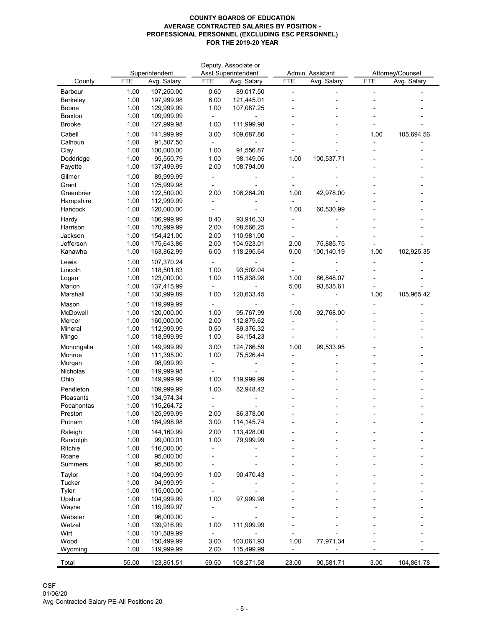|                          |              |                          |              | Deputy, Associate or       |              |                         |            |                  |
|--------------------------|--------------|--------------------------|--------------|----------------------------|--------------|-------------------------|------------|------------------|
|                          | <b>FTE</b>   | Superintendent           | <b>FTE</b>   | <b>Asst Superintendent</b> | <b>FTE</b>   | Admin. Assistant        | <b>FTE</b> | Attorney/Counsel |
| County                   |              | Avg. Salary              |              | Avg. Salary                |              | Avg. Salary             |            | Avg. Salary      |
| <b>Barbour</b>           | 1.00         | 107,250.00<br>197,999.98 | 0.60         | 89,017.50                  | ۰            |                         |            |                  |
| Berkeley<br><b>Boone</b> | 1.00<br>1.00 | 129,999.99               | 6.00<br>1.00 | 121,445.01<br>107,087.25   |              |                         |            |                  |
| <b>Braxton</b>           | 1.00         | 109,999.99               |              |                            |              |                         |            |                  |
| <b>Brooke</b>            | 1.00         | 127,999.98               | 1.00         | 111,999.98                 |              |                         |            |                  |
| Cabell                   | 1.00         | 141,999.99               | 3.00         | 109,687.86                 |              |                         | 1.00       | 105,694.56       |
| Calhoun                  | 1.00         | 91,507.50                |              |                            |              |                         |            |                  |
| Clay                     | 1.00         | 100,000.00               | 1.00         | 91,556.87                  |              |                         |            |                  |
| Doddridge                | 1.00         | 95,550.79                | 1.00         | 98,149.05                  | 1.00         | 100,537.71              |            |                  |
| Fayette                  | 1.00         | 137,499.99               | 2.00         | 108,794.09                 |              |                         |            |                  |
| Gilmer                   | 1.00         | 89,999.99                |              |                            |              |                         |            |                  |
| Grant                    | 1.00         | 125,999.98               |              |                            |              |                         |            |                  |
| Greenbrier               | 1.00         | 122,500.00               | 2.00         | 106,264.20                 | 1.00         | 42,978.00               |            |                  |
| Hampshire                | 1.00         | 112,999.99               |              |                            |              |                         |            |                  |
| Hancock                  | 1.00         | 120,000.00               |              |                            | 1.00         | 60,530.99               |            |                  |
| Hardy                    | 1.00         | 106,999.99               | 0.40         | 93,916.33                  |              |                         |            |                  |
| Harrison                 | 1.00         | 170,999.99               | 2.00         | 108,566.25                 |              |                         |            |                  |
| Jackson                  | 1.00         | 154,421.00               | 2.00         | 110,981.00                 |              |                         |            |                  |
| Jefferson<br>Kanawha     | 1.00<br>1.00 | 175,643.86<br>163,862.99 | 2.00<br>6.00 | 104,923.01<br>118,295.64   | 2.00<br>9.00 | 75,885.75<br>100,140.19 | 1.00       | 102,925.35       |
|                          |              |                          |              |                            |              |                         |            |                  |
| Lewis<br>Lincoln         | 1.00<br>1.00 | 107,370.24<br>118,501.83 | 1.00         | 93,502.04                  |              |                         |            |                  |
| Logan                    | 1.00         | 123,000.00               | 1.00         | 115,838.98                 | 1.00         | 86,848.07               |            |                  |
| Marion                   | 1.00         | 137,415.99               |              |                            | 5.00         | 93,835.61               |            |                  |
| Marshall                 | 1.00         | 130,999.89               | 1.00         | 120,633.45                 |              |                         | 1.00       | 105,965.42       |
| Mason                    | 1.00         | 119,999.99               |              |                            |              |                         |            |                  |
| McDowell                 | 1.00         | 120,000.00               | 1.00         | 95,767.99                  | 1.00         | 92,768.00               |            |                  |
| Mercer                   | 1.00         | 160,000.00               | 2.00         | 112,879.62                 |              |                         |            |                  |
| Mineral                  | 1.00         | 112,999.99               | 0.50         | 89,376.32                  |              |                         |            |                  |
| Mingo                    | 1.00         | 118,999.99               | 1.00         | 84, 154. 23                |              |                         |            |                  |
| Monongalia               | 1.00         | 149,999.99               | 3.00         | 124,766.59                 | 1.00         | 99,533.95               |            |                  |
| Monroe                   | 1.00         | 111,395.00               | 1.00         | 75,526.44                  |              |                         |            |                  |
| Morgan                   | 1.00         | 98,999.99                |              |                            |              |                         |            |                  |
| Nicholas                 | 1.00         | 119,999.98               |              |                            |              |                         |            |                  |
| Ohio                     | 1.00         | 149,999.99               | 1.00         | 119,999.99                 |              |                         |            |                  |
| Pendleton                | 1.00         | 109,999.99               | 1.00         | 82,948.42                  |              |                         |            |                  |
| Pleasants<br>Pocahontas  | 1.00         | 134,974.34               |              |                            |              |                         |            |                  |
| Preston                  | 1.00<br>1.00 | 115,264.72<br>125,999.99 | 2.00         | 86,378.00                  |              |                         |            |                  |
| Putnam                   | 1.00         | 164,998.98               | 3.00         | 114, 145. 74               |              |                         |            |                  |
| Raleigh                  | 1.00         | 144,160.99               | 2.00         | 113,428.00                 |              |                         |            |                  |
| Randolph                 | 1.00         | 99,000.01                | 1.00         | 79,999.99                  |              |                         |            |                  |
| Ritchie                  | 1.00         | 116,000.00               |              |                            |              |                         |            |                  |
| Roane                    | 1.00         | 95,000.00                |              |                            |              |                         |            |                  |
| <b>Summers</b>           | 1.00         | 95,508.00                |              |                            |              |                         |            |                  |
| <b>Taylor</b>            | 1.00         | 104,999.99               | 1.00         | 90,470.43                  |              |                         |            |                  |
| <b>Tucker</b>            | 1.00         | 94,999.99                |              |                            |              |                         |            |                  |
| <b>Tyler</b>             | 1.00         | 115,000.00               |              |                            |              |                         |            |                  |
| Upshur                   | 1.00         | 104,999.99               | 1.00         | 97,999.98                  |              |                         |            |                  |
| Wayne                    | 1.00         | 119,999.97               |              |                            |              |                         |            |                  |
| Webster                  | 1.00         | 96,000.00                |              |                            |              |                         |            |                  |
| Wetzel                   | 1.00         | 139,916.99               | 1.00         | 111,999.99                 |              |                         |            |                  |
| Wirt                     | 1.00         | 101,589.99               |              |                            |              |                         |            |                  |
| Wood                     | 1.00<br>1.00 | 150,499.99<br>119,999.99 | 3.00<br>2.00 | 103,061.93<br>115,499.99   | 1.00         | 77,971.34               |            |                  |
| Wyoming                  |              |                          |              |                            |              |                         |            |                  |
| Total                    | 55.00        | 123,851.51               | 59.50        | 108,271.58                 | 23.00        | 90,581.71               | 3.00       | 104,861.78       |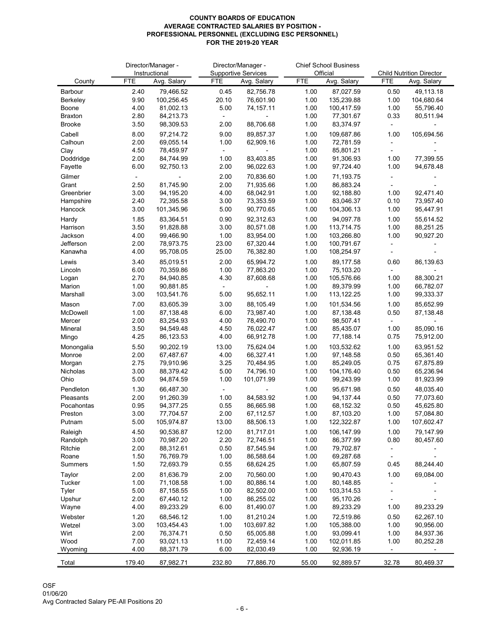|                                   |              | Director/Manager -           |               | Director/Manager -                        | <b>Chief School Business</b><br>Official |                         |              |                                                |
|-----------------------------------|--------------|------------------------------|---------------|-------------------------------------------|------------------------------------------|-------------------------|--------------|------------------------------------------------|
| County                            | <b>FTE</b>   | Instructional<br>Avg. Salary | <b>FTE</b>    | <b>Supportive Services</b><br>Avg. Salary | <b>FTE</b>                               | Avg. Salary             | <b>FTE</b>   | <b>Child Nutrition Director</b><br>Avg. Salary |
|                                   |              |                              |               |                                           |                                          |                         |              |                                                |
| <b>Barbour</b><br><b>Berkeley</b> | 2.40<br>9.90 | 79,466.52<br>100,256.45      | 0.45<br>20.10 | 82,756.78<br>76,601.90                    | 1.00<br>1.00                             | 87,027.59<br>135,239.88 | 0.50<br>1.00 | 49,113.18<br>104,680.64                        |
| <b>Boone</b>                      | 4.00         | 81,002.13                    | 5.00          | 74,157.11                                 | 1.00                                     | 100,417.59              | 1.00         | 55,796.40                                      |
| <b>Braxton</b>                    | 2.80         | 84,213.73                    |               |                                           | 1.00                                     | 77,301.67               | 0.33         | 80,511.94                                      |
| <b>Brooke</b>                     | 3.50         | 98,309.53                    | 2.00          | 88,706.68                                 | 1.00                                     | 83,374.97               |              |                                                |
| Cabell                            | 8.00         | 97,214.72                    | 9.00          | 89,857.37                                 | 1.00                                     | 109,687.86              | 1.00         | 105,694.56                                     |
| Calhoun                           | 2.00         | 69,055.14                    | 1.00          | 62,909.16                                 | 1.00                                     | 72,781.59               |              |                                                |
| Clay                              | 4.50         | 78,459.97                    |               |                                           | 1.00                                     | 85,801.21               |              |                                                |
| Doddridge                         | 2.00         | 84,744.99                    | 1.00          | 83,403.85                                 | 1.00                                     | 91,306.93               | 1.00         | 77,399.55                                      |
| Fayette                           | 6.00         | 92,750.13                    | 2.00          | 96,022.63                                 | 1.00                                     | 97,724.40               | 1.00         | 94,678.48                                      |
| Gilmer                            |              |                              | 2.00          | 70,836.60                                 | 1.00                                     | 71,193.75               |              |                                                |
| Grant                             | 2.50         | 81,745.90                    | 2.00          | 71,935.66                                 | 1.00                                     | 86,883.24               |              |                                                |
| Greenbrier                        | 3.00         | 94,195.20                    | 4.00          | 68,042.91                                 | 1.00                                     | 92,188.80               | 1.00<br>0.10 | 92,471.40                                      |
| Hampshire<br>Hancock              | 2.40<br>3.00 | 72,395.58<br>101,345.96      | 3.00<br>5.00  | 73,353.59<br>90,770.65                    | 1.00<br>1.00                             | 83,046.37<br>104,306.13 | 1.00         | 73,957.40<br>95,447.91                         |
|                                   | 1.85         |                              |               |                                           |                                          |                         |              | 55,614.52                                      |
| Hardy<br>Harrison                 | 3.50         | 83,364.51<br>91,828.88       | 0.90<br>3.00  | 92,312.63<br>80,571.08                    | 1.00<br>1.00                             | 94,097.78<br>113,714.75 | 1.00<br>1.00 | 88,251.25                                      |
| Jackson                           | 4.00         | 99,466.90                    | 1.00          | 83,954.00                                 | 1.00                                     | 103,266.80              | 1.00         | 90,927.20                                      |
| Jefferson                         | 2.00         | 78,973.75                    | 23.00         | 67,320.44                                 | 1.00                                     | 100,791.67              |              |                                                |
| Kanawha                           | 4.00         | 95,708.05                    | 25.00         | 76,382.80                                 | 1.00                                     | 108,254.97              |              |                                                |
| Lewis                             | 3.40         | 85,019.51                    | 2.00          | 65,994.72                                 | 1.00                                     | 89,177.58               | 0.60         | 86,139.63                                      |
| Lincoln                           | 6.00         | 70,359.86                    | 1.00          | 77,863.20                                 | 1.00                                     | 75,103.20               |              |                                                |
| Logan                             | 2.70         | 84,940.85                    | 4.30          | 87,608.68                                 | 1.00                                     | 105,576.66              | 1.00         | 88,300.21                                      |
| Marion                            | 1.00         | 90,881.85                    |               |                                           | 1.00                                     | 89,379.99               | 1.00         | 66,782.07                                      |
| Marshall                          | 3.00         | 103,541.76                   | 5.00          | 95,652.11                                 | 1.00                                     | 113,122.25              | 1.00         | 99,333.37                                      |
| Mason                             | 7.00         | 83,605.39                    | 3.00          | 88,105.49                                 | 1.00                                     | 101,534.56              | 1.00         | 85,652.99                                      |
| McDowell                          | 1.00         | 87,138.48                    | 6.00          | 73,987.40                                 | 1.00                                     | 87,138.48               | 0.50         | 87,138.48                                      |
| Mercer                            | 2.00         | 83,254.93                    | 4.00          | 78,490.70                                 | 1.00                                     | 98,507.41               |              |                                                |
| Mineral<br>Mingo                  | 3.50<br>4.25 | 94,549.48<br>86,123.53       | 4.50<br>4.00  | 76,022.47<br>66,912.78                    | 1.00<br>1.00                             | 85,435.07<br>77,188.14  | 1.00<br>0.75 | 85,090.16<br>75,912.00                         |
|                                   |              |                              |               |                                           |                                          |                         |              |                                                |
| Monongalia<br>Monroe              | 5.50<br>2.00 | 90,202.19<br>67,487.67       | 13.00<br>4.00 | 75,624.04<br>66,327.41                    | 1.00<br>1.00                             | 103,532.62<br>97,148.58 | 1.00<br>0.50 | 63,951.52<br>65,361.40                         |
| Morgan                            | 2.75         | 79,910.96                    | 3.25          | 70,484.95                                 | 1.00                                     | 85,249.05               | 0.75         | 67,875.89                                      |
| Nicholas                          | 3.00         | 88,379.42                    | 5.00          | 74,796.10                                 | 1.00                                     | 104,176.40              | 0.50         | 65,236.94                                      |
| Ohio                              | 5.00         | 94,874.59                    | 1.00          | 101,071.99                                | 1.00                                     | 99,243.99               | 1.00         | 81,923.99                                      |
| Pendleton                         | 1.30         | 66,487.30                    |               |                                           | 1.00                                     | 95,671.98               | 0.50         | 48,035.40                                      |
| Pleasants                         | 2.00         | 91,260.39                    | 1.00          | 84,583.92                                 | 1.00                                     | 94,137.44               | 0.50         | 77,073.60                                      |
| Pocahontas                        | 0.95         | 94,377.25                    | 0.55          | 86,665.98                                 | 1.00                                     | 68,152.32               | 0.50         | 45,625.80                                      |
| Preston                           | 3.00         | 77,704.57                    | 2.00          | 67,112.57                                 | 1.00                                     | 87,103.20               | 1.00         | 57,084.80                                      |
| Putnam                            | 5.00         | 105,974.87                   | 13.00         | 88,506.13                                 | 1.00                                     | 122,322.87              | 1.00         | 107,602.47                                     |
| Raleigh                           | 4.50         | 90,536.87                    | 12.00         | 81,717.01                                 | 1.00                                     | 106,147.99              | 1.00         | 79,147.99                                      |
| Randolph                          | 3.00         | 70,987.20                    | 2.20          | 72,746.51                                 | 1.00                                     | 86,377.99               | 0.80         | 80,457.60                                      |
| Ritchie                           | 2.00         | 88,312.61                    | 0.50          | 87,545.94                                 | 1.00                                     | 79,702.87               |              |                                                |
| Roane<br><b>Summers</b>           | 1.50<br>1.50 | 76,769.79<br>72,693.79       | 1.00<br>0.55  | 86,588.64<br>68,624.25                    | 1.00<br>1.00                             | 69,287.68<br>65,807.59  | 0.45         | 88,244.40                                      |
|                                   |              |                              |               |                                           |                                          |                         |              |                                                |
| Taylor<br>Tucker                  | 2.00<br>1.00 | 81,636.79<br>71,108.58       | 2.00<br>1.00  | 70,560.00<br>80,886.14                    | 1.00<br>1.00                             | 90,470.43<br>80,148.85  | 1.00         | 69,084.00                                      |
| Tyler                             | 5.00         | 87,158.55                    | 1.00          | 82,502.00                                 | 1.00                                     | 103,314.53              |              |                                                |
| Upshur                            | 2.00         | 67,440.12                    | 1.00          | 86,255.02                                 | 1.00                                     | 95,170.26               |              |                                                |
| Wayne                             | 4.00         | 89,233.29                    | 6.00          | 81,490.07                                 | 1.00                                     | 89,233.29               | 1.00         | 89,233.29                                      |
| Webster                           | 1.20         | 68,546.12                    | 1.00          | 81,210.24                                 | 1.00                                     | 72,519.86               | 0.50         | 62,267.10                                      |
| Wetzel                            | 3.00         | 103,454.43                   | 1.00          | 103,697.82                                | 1.00                                     | 105,388.00              | 1.00         | 90,956.00                                      |
| Wirt                              | 2.00         | 76,374.71                    | 0.50          | 65,005.88                                 | 1.00                                     | 93,099.41               | 1.00         | 84,937.36                                      |
| Wood                              | 7.00         | 93,021.13                    | 11.00         | 72,459.14                                 | 1.00                                     | 102,011.85              | 1.00         | 80,252.28                                      |
| Wyoming                           | 4.00         | 88,371.79                    | 6.00          | 82,030.49                                 | 1.00                                     | 92,936.19               |              |                                                |
| Total                             | 179.40       | 87,982.71                    | 232.80        | 77,886.70                                 | 55.00                                    | 92,889.57               | 32.78        | 80,469.37                                      |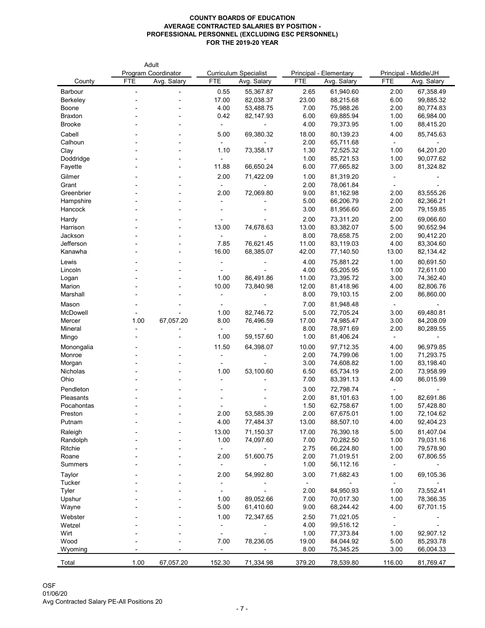|                                |            | Adult                      |                         |                              |               |                               |                |                        |
|--------------------------------|------------|----------------------------|-------------------------|------------------------------|---------------|-------------------------------|----------------|------------------------|
|                                |            | <b>Program Coordinator</b> |                         | <b>Curriculum Specialist</b> |               | <b>Principal - Elementary</b> |                | Principal - Middle/JH  |
| County                         | <b>FTE</b> | Avg. Salary                | <b>FTE</b>              | Avg. Salary                  | <b>FTE</b>    | Avg. Salary                   | <b>FTE</b>     | Avg. Salary            |
| Barbour                        |            |                            | 0.55                    | 55,367.87                    | 2.65          | 61,940.60                     | 2.00           | 67,358.49              |
| <b>Berkeley</b>                |            |                            | 17.00                   | 82,038.37                    | 23.00         | 88,215.68                     | 6.00           | 99,885.32              |
| <b>Boone</b><br><b>Braxton</b> |            |                            | 4.00<br>0.42            | 53,488.75<br>82,147.93       | 7.00<br>6.00  | 75,988.26<br>69,885.94        | 2.00<br>1.00   | 80,774.83<br>66,984.00 |
| <b>Brooke</b>                  |            |                            |                         |                              | 4.00          | 79,373.95                     | 1.00           | 88,415.20              |
|                                |            |                            | $\blacksquare$          |                              |               |                               |                |                        |
| Cabell                         |            |                            | 5.00                    | 69,380.32                    | 18.00         | 80,139.23                     | 4.00           | 85,745.63              |
| Calhoun                        |            |                            | $\sim$<br>1.10          |                              | 2.00<br>1.30  | 65,711.68<br>72,525.32        | $\sim$         | 64,201.20              |
| Clay<br>Doddridge              |            |                            |                         | 73,358.17                    | 1.00          | 85,721.53                     | 1.00<br>1.00   | 90,077.62              |
| Fayette                        |            |                            | $\blacksquare$<br>11.88 | 66,650.24                    | 6.00          | 77,665.82                     | 3.00           | 81,324.82              |
|                                |            |                            |                         |                              |               |                               |                |                        |
| Gilmer                         |            |                            | 2.00                    | 71,422.09                    | 1.00<br>2.00  | 81,319.20                     |                |                        |
| Grant<br>Greenbrier            |            |                            | $\blacksquare$<br>2.00  | 72,069.80                    | 9.00          | 78,061.84<br>81,162.98        | 2.00           | 83,555.26              |
| Hampshire                      |            |                            |                         |                              | 5.00          | 66,206.79                     | 2.00           | 82,366.21              |
| Hancock                        |            |                            |                         |                              | 3.00          | 81,956.60                     | 2.00           | 79,159.85              |
|                                |            |                            |                         |                              |               |                               |                |                        |
| Hardy<br>Harrison              |            |                            |                         |                              | 2.00          | 73,311.20                     | 2.00           | 69,066.60<br>90,652.94 |
| Jackson                        |            |                            | 13.00<br>$\blacksquare$ | 74,678.63                    | 13.00<br>8.00 | 83,382.07<br>78,658.75        | 5.00<br>2.00   | 90,412.20              |
| Jefferson                      |            |                            | 7.85                    | 76,621.45                    | 11.00         | 83,119.03                     | 4.00           | 83,304.60              |
| Kanawha                        |            |                            | 16.00                   | 68,385.07                    | 42.00         | 77,140.50                     | 13.00          | 82,134.42              |
|                                |            |                            |                         |                              |               |                               |                |                        |
| Lewis                          |            |                            | $\blacksquare$          |                              | 4.00          | 75,881.22                     | 1.00           | 80,691.50              |
| Lincoln                        |            |                            | 1.00                    | 86,491.86                    | 4.00<br>11.00 | 65,205.95<br>73,395.72        | 1.00<br>3.00   | 72,611.00<br>74,362.40 |
| Logan<br>Marion                |            |                            | 10.00                   | 73,840.98                    | 12.00         | 81,418.96                     | 4.00           | 82,806.76              |
| Marshall                       |            |                            |                         |                              | 8.00          | 79,103.15                     | 2.00           | 86,860.00              |
|                                |            |                            |                         |                              |               |                               |                |                        |
| Mason<br>McDowell              |            |                            |                         |                              | 7.00          | 81,948.48                     | $\blacksquare$ | 69,480.81              |
| Mercer                         | 1.00       | 67,057.20                  | 1.00<br>8.00            | 82,746.72<br>76,496.59       | 5.00<br>17.00 | 72,705.24<br>74,985.47        | 3.00<br>3.00   | 84,208.09              |
| Mineral                        |            |                            |                         |                              | 8.00          | 78,971.69                     | 2.00           | 80,289.55              |
| Mingo                          |            |                            | 1.00                    | 59,157.60                    | 1.00          | 81,406.24                     | $\blacksquare$ |                        |
|                                |            |                            | 11.50                   |                              |               |                               |                | 96,979.85              |
| Monongalia<br>Monroe           |            |                            |                         | 64,398.07                    | 10.00<br>2.00 | 97,712.35<br>74,799.06        | 4.00<br>1.00   | 71,293.75              |
| Morgan                         |            |                            | ۰                       |                              | 3.00          | 74,608.82                     | 1.00           | 83,198.40              |
| Nicholas                       |            |                            | 1.00                    | 53,100.60                    | 6.50          | 65,734.19                     | 2.00           | 73,958.99              |
| Ohio                           |            |                            |                         |                              | 7.00          | 83,391.13                     | 4.00           | 86,015.99              |
| Pendleton                      |            |                            |                         |                              | 3.00          |                               |                |                        |
| Pleasants                      |            |                            |                         |                              | 2.00          | 72,798.74<br>81,101.63        | $\sim$<br>1.00 | 82,691.86              |
| Pocahontas                     |            |                            |                         |                              | 1.50          | 62,758.67                     | 1.00           | 57,428.80              |
| Preston                        |            |                            | 2.00                    | 53,585.39                    | 2.00          | 67,675.01                     | 1.00           | 72,104.62              |
| Putnam                         |            |                            | 4.00                    | 77,484.37                    | 13.00         | 88,507.10                     | 4.00           | 92,404.23              |
|                                |            |                            |                         |                              |               |                               |                |                        |
| Raleigh<br>Randolph            |            |                            | 13.00<br>1.00           | 71,150.37<br>74,097.60       | 17.00<br>7.00 | 76,390.18<br>70,282.50        | 5.00<br>1.00   | 81,407.04<br>79,031.16 |
| Ritchie                        |            |                            |                         |                              | 2.75          | 66,224.80                     | 1.00           | 79,578.90              |
| Roane                          |            |                            | 2.00                    | 51,600.75                    | 2.00          | 71,019.51                     | 2.00           | 67,806.55              |
| <b>Summers</b>                 |            |                            |                         |                              | 1.00          | 56,112.16                     | $\blacksquare$ |                        |
|                                |            |                            | 2.00                    |                              | 3.00          |                               |                | 69,105.36              |
| Taylor<br><b>Tucker</b>        |            |                            |                         | 54,992.80                    |               | 71,682.43                     | 1.00           |                        |
| <b>Tyler</b>                   |            |                            | ۰.                      |                              | 2.00          | 84,950.93                     | 1.00           | 73,552.41              |
| Upshur                         |            |                            | 1.00                    | 89,052.66                    | 7.00          | 70,017.30                     | 1.00           | 78,366.35              |
| Wayne                          |            |                            | 5.00                    | 61,410.60                    | 9.00          | 68,244.42                     | 4.00           | 67,701.15              |
|                                |            |                            |                         |                              |               |                               |                |                        |
| Webster                        |            |                            | 1.00                    | 72,347.65                    | 2.50          | 71,021.05                     |                |                        |
| Wetzel<br>Wirt                 |            |                            |                         |                              | 4.00<br>1.00  | 99,516.12<br>77,373.84        | 1.00           | 92,907.12              |
| Wood                           |            |                            | 7.00                    | 78,236.05                    | 19.00         | 84,044.92                     | 5.00           | 85,293.78              |
| Wyoming                        |            |                            |                         |                              | 8.00          | 75,345.25                     | 3.00           | 66,004.33              |
|                                |            |                            |                         |                              |               |                               |                |                        |
| Total                          | 1.00       | 67,057.20                  | 152.30                  | 71,334.98                    | 379.20        | 78,539.80                     | 116.00         | 81,769.47              |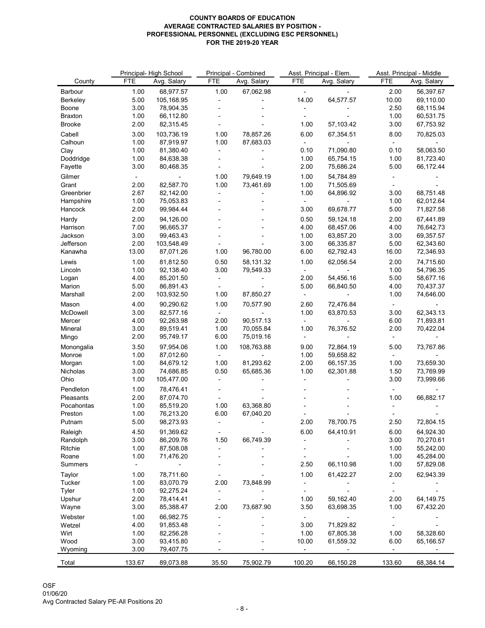|                  |            | Principal-High School |            | Principal - Combined | Asst. Principal - Elem. |             |            | Asst. Principal - Middle |
|------------------|------------|-----------------------|------------|----------------------|-------------------------|-------------|------------|--------------------------|
| County           | <b>FTE</b> | Avg. Salary           | <b>FTE</b> | Avg. Salary          | <b>FTE</b>              | Avg. Salary | <b>FTE</b> | Avg. Salary              |
| Barbour          | 1.00       | 68,977.57             | 1.00       | 67,062.98            | $\sim$                  |             | 2.00       | 56,397.67                |
| <b>Berkeley</b>  | 5.00       | 105,168.95            |            |                      | 14.00                   | 64,577.57   | 10.00      | 69,110.00                |
| Boone            | 3.00       | 78,904.35             |            |                      |                         |             | 2.50       | 68,115.94                |
| <b>Braxton</b>   | 1.00       | 66,112.80             |            |                      |                         |             | 1.00       | 60,531.75                |
| <b>Brooke</b>    | 2.00       | 82,315.45             |            |                      | 1.00                    | 57,103.42   | 3.00       | 67,753.92                |
| Cabell           | 3.00       | 103,736.19            | 1.00       | 78,857.26            | 6.00                    | 67,354.51   | 8.00       | 70,825.03                |
| Calhoun          | 1.00       | 87,919.97             | 1.00       | 87,683.03            |                         |             |            |                          |
| Clay             | 1.00       | 81,380.40             |            |                      | 0.10                    | 71,090.80   | 0.10       | 58,063.50                |
| Doddridge        | 1.00       | 84,638.38             |            |                      | 1.00                    | 65,754.15   | 1.00       | 81,723.40                |
| Fayette          | 3.00       | 80,468.35             |            |                      | 2.00                    | 75,686.24   | 5.00       | 66,172.44                |
| Gilmer           | ٠          |                       | 1.00       | 79,649.19            | 1.00                    | 54,784.89   |            |                          |
| Grant            | 2.00       | 82,587.70             | 1.00       | 73,461.69            | 1.00                    | 71,505.69   |            |                          |
| Greenbrier       | 2.67       | 82,142.00             |            |                      | 1.00                    | 64,896.92   | 3.00       | 68,751.48                |
| Hampshire        | 1.00       | 75,053.83             |            |                      | $\sim$                  |             | 1.00       | 62,012.64                |
| Hancock          | 2.00       | 99,984.44             |            |                      | 3.00                    | 69,678.77   | 5.00       | 71,827.58                |
| Hardy            | 2.00       | 94,126.00             |            |                      | 0.50                    | 59,124.18   | 2.00       | 67,441.89                |
| Harrison         | 7.00       | 96,665.37             |            |                      | 4.00                    | 68,457.06   | 4.00       | 76,642.73                |
| Jackson          | 3.00       | 99,463.43             |            |                      | 1.00                    | 63,857.20   | 3.00       | 69,357.57                |
| Jefferson        | 2.00       | 103,548.49            |            |                      | 3.00                    | 66,335.87   | 5.00       | 62,343.60                |
| Kanawha          | 13.00      | 87,071.26             | 1.00       | 96,780.00            | 6.00                    | 62,792.43   | 16.00      | 72,346.93                |
| Lewis            | 1.00       | 81,812.50             | 0.50       | 58,131.32            | 1.00                    | 62,056.54   | 2.00       | 74,715.60                |
| Lincoln          | 1.00       | 92,138.40             | 3.00       | 79,549.33            |                         |             | 1.00       | 54,796.35                |
|                  | 4.00       | 85,201.50             |            |                      | $\sim$<br>2.00          | 54,456.16   | 5.00       | 58,677.16                |
| Logan<br>Marion  | 5.00       | 86,891.43             |            |                      | 5.00                    | 66,840.50   | 4.00       | 70,437.37                |
| Marshall         | 2.00       | 103,932.50            | 1.00       | 87,850.27            |                         |             | 1.00       | 74,646.00                |
|                  |            |                       |            |                      | $\blacksquare$          |             |            |                          |
| Mason            | 4.00       | 90,290.62             | 1.00       | 70,577.90            | 2.60                    | 72,476.84   |            |                          |
| McDowell         | 3.00       | 82,577.16             |            |                      | 1.00                    | 63,870.53   | 3.00       | 62,343.13                |
| Mercer           | 4.00       | 92,263.98             | 2.00       | 90,517.13            | $\sim$                  |             | 6.00       | 71,893.81                |
| Mineral          | 3.00       | 89,519.41             | 1.00       | 70,055.84            | 1.00                    | 76,376.52   | 2.00       | 70,422.04                |
| Mingo            | 2.00       | 95,749.17             | 6.00       | 75,019.16            |                         |             |            |                          |
| Monongalia       | 3.50       | 97,954.06             | 1.00       | 108,763.88           | 9.00                    | 72,864.19   | 5.00       | 73,767.86                |
| Monroe           | 1.00       | 87,012.60             |            |                      | 1.00                    | 59,658.82   |            |                          |
| Morgan           | 1.00       | 84,679.12             | 1.00       | 81,293.62            | 2.00                    | 66,157.35   | 1.00       | 73,659.30                |
| Nicholas         | 3.00       | 74,686.85             | 0.50       | 65,685.36            | 1.00                    | 62,301.88   | 1.50       | 73,769.99                |
| Ohio             | 1.00       | 105,477.00            |            |                      |                         |             | 3.00       | 73,999.66                |
| Pendleton        | 1.00       | 78,476.41             |            |                      |                         |             |            |                          |
| <b>Pleasants</b> | 2.00       | 87,074.70             |            |                      |                         |             | 1.00       | 66,882.17                |
| Pocahontas       | 1.00       | 85,519.20             | 1.00       | 63,368.80            |                         |             |            |                          |
| Preston          | 1.00       | 76,213.20             | 6.00       | 67,040.20            |                         |             |            |                          |
| Putnam           | 5.00       | 98,273.93             |            |                      | 2.00                    | 78,700.75   | 2.50       | 72,804.15                |
| Raleigh          | 4.50       | 91,369.62             |            |                      | 6.00                    | 64,410.91   | 6.00       | 64,924.30                |
| Randolph         | 3.00       | 86,209.76             | 1.50       | 66,749.39            |                         |             | 3.00       | 70,270.61                |
| Ritchie          | 1.00       | 87,508.08             |            |                      |                         |             | 1.00       | 55,242.00                |
| Roane            | 1.00       | 71,476.20             |            |                      |                         |             | 1.00       | 45,284.00                |
| <b>Summers</b>   |            |                       |            |                      | 2.50                    | 66,110.98   | 1.00       | 57,829.08                |
|                  | 1.00       | 78,711.60             |            |                      | 1.00                    | 61,422.27   | 2.00       | 62,943.39                |
| Taylor<br>Tucker | 1.00       | 83,070.79             | 2.00       | 73,848.99            |                         |             |            |                          |
| <b>Tyler</b>     | 1.00       | 92,275.24             |            |                      |                         |             |            |                          |
| Upshur           | 2.00       | 78,414.41             |            |                      | 1.00                    | 59,162.40   | 2.00       | 64,149.75                |
|                  | 3.00       | 85,388.47             | 2.00       | 73,687.90            | 3.50                    | 63,698.35   | 1.00       | 67,432.20                |
| Wayne            |            |                       |            |                      |                         |             |            |                          |
| Webster          | 1.00       | 66,982.75             |            |                      |                         |             |            |                          |
| Wetzel           | 4.00       | 91,853.48             |            |                      | 3.00                    | 71,829.82   |            |                          |
| Wirt             | 1.00       | 82,256.28             |            |                      | 1.00                    | 67,805.38   | 1.00       | 58,328.60                |
| Wood             | 3.00       | 93,415.80             |            |                      | 10.00                   | 61,559.32   | 6.00       | 65,166.57                |
| Wyoming          | 3.00       | 79,407.75             |            |                      |                         |             |            |                          |
| Total            | 133.67     | 89,073.88             | 35.50      | 75,902.79            | 100.20                  | 66,150.28   | 133.60     | 68,384.14                |
|                  |            |                       |            |                      |                         |             |            |                          |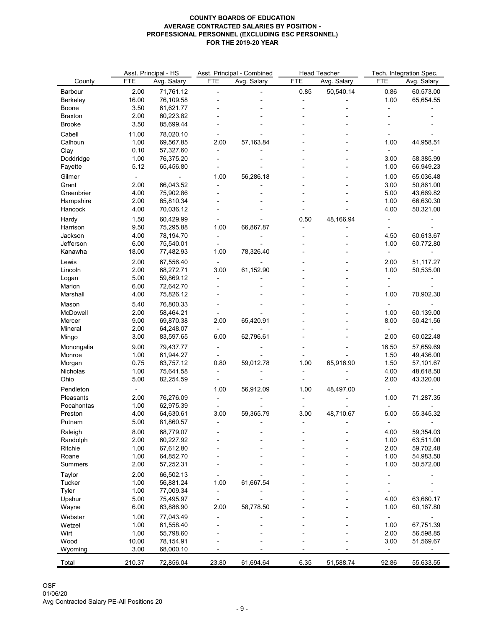|                 |            | Asst. Principal - HS   |            | Asst. Principal - Combined | <b>Head Teacher</b> |             | Tech. Integration Spec. |             |
|-----------------|------------|------------------------|------------|----------------------------|---------------------|-------------|-------------------------|-------------|
| County          | <b>FTE</b> | Avg. Salary            | <b>FTE</b> | Avg. Salary                | <b>FTE</b>          | Avg. Salary | <b>FTE</b>              | Avg. Salary |
| <b>Barbour</b>  | 2.00       | 71,761.12              |            |                            | 0.85                | 50,540.14   | 0.86                    | 60,573.00   |
| <b>Berkeley</b> | 16.00      | 76,109.58              |            |                            |                     |             | 1.00                    | 65,654.55   |
| Boone           | 3.50       | 61,621.77              |            |                            |                     |             |                         |             |
| <b>Braxton</b>  | 2.00       | 60,223.82              |            |                            |                     |             |                         |             |
| <b>Brooke</b>   | 3.50       | 85,699.44              |            |                            |                     |             |                         |             |
| Cabell          | 11.00      | 78,020.10              |            |                            |                     |             |                         |             |
| Calhoun         | 1.00       | 69,567.85              | 2.00       | 57,163.84                  |                     |             | 1.00                    | 44,958.51   |
| Clay            | 0.10       | 57,327.60              |            |                            |                     |             |                         |             |
| Doddridge       | 1.00       | 76,375.20              |            |                            |                     |             | 3.00                    | 58,385.99   |
| Fayette         | 5.12       | 65,456.80              |            |                            |                     |             | 1.00                    | 66,949.23   |
| Gilmer          |            |                        | 1.00       | 56,286.18                  |                     |             | 1.00                    | 65,036.48   |
| Grant           | 2.00       | 66,043.52              |            |                            |                     |             | 3.00                    | 50,861.00   |
| Greenbrier      | 4.00       | 75,902.86              |            |                            |                     |             | 5.00                    | 43,669.82   |
| Hampshire       | 2.00       | 65,810.34              |            |                            |                     |             | 1.00                    | 66,630.30   |
| Hancock         | 4.00       | 70,036.12              |            |                            |                     |             | 4.00                    | 50,321.00   |
| Hardy           | 1.50       | 60,429.99              |            |                            | 0.50                | 48,166.94   |                         |             |
| Harrison        | 9.50       | 75,295.88              | 1.00       | 66,867.87                  |                     |             |                         |             |
| Jackson         | 4.00       | 78,194.70              |            |                            |                     |             | 4.50                    | 60,613.67   |
| Jefferson       | 6.00       | 75,540.01              |            |                            |                     |             | 1.00                    | 60,772.80   |
| Kanawha         | 18.00      | 77,482.93              | 1.00       | 78,326.40                  |                     |             |                         |             |
|                 | 2.00       |                        |            |                            |                     |             |                         |             |
| Lewis           | 2.00       | 67,556.40<br>68,272.71 | 3.00       |                            |                     |             | 2.00<br>1.00            | 51,117.27   |
| Lincoln         | 5.00       | 59,869.12              |            | 61,152.90                  |                     |             |                         | 50,535.00   |
| Logan<br>Marion | 6.00       | 72,642.70              |            |                            |                     |             |                         |             |
| Marshall        | 4.00       | 75,826.12              |            |                            |                     |             | 1.00                    | 70,902.30   |
|                 |            |                        |            |                            |                     |             |                         |             |
| Mason           | 5.40       | 76,800.33              |            |                            |                     |             |                         |             |
| McDowell        | 2.00       | 58,464.21              |            |                            |                     |             | 1.00                    | 60,139.00   |
| Mercer          | 9.00       | 69,870.38              | 2.00       | 65,420.91                  |                     |             | 8.00                    | 50,421.56   |
| Mineral         | 2.00       | 64,248.07              |            |                            |                     |             |                         |             |
| Mingo           | 3.00       | 83,597.65              | 6.00       | 62,796.61                  |                     |             | 2.00                    | 60,022.48   |
| Monongalia      | 9.00       | 79,437.77              |            |                            |                     |             | 16.50                   | 57,659.69   |
| Monroe          | 1.00       | 61,944.27              |            |                            |                     |             | 1.50                    | 49,436.00   |
| Morgan          | 0.75       | 63,757.12              | 0.80       | 59,012.78                  | 1.00                | 65,916.90   | 1.50                    | 57,101.67   |
| <b>Nicholas</b> | 1.00       | 75,641.58              |            |                            |                     |             | 4.00                    | 48,618.50   |
| Ohio            | 5.00       | 82,254.59              |            |                            |                     |             | 2.00                    | 43,320.00   |
| Pendleton       |            |                        | 1.00       | 56,912.09                  | 1.00                | 48,497.00   |                         |             |
| Pleasants       | 2.00       | 76,276.09              |            |                            |                     |             | 1.00                    | 71,287.35   |
| Pocahontas      | 1.00       | 62,975.39              |            |                            |                     |             |                         |             |
| Preston         | 4.00       | 64,630.61              | 3.00       | 59,365.79                  | 3.00                | 48,710.67   | 5.00                    | 55,345.32   |
| Putnam          | 5.00       | 81,860.57              |            |                            |                     |             |                         |             |
| Raleigh         | 8.00       | 68,779.07              |            |                            |                     |             | 4.00                    | 59,354.03   |
| Randolph        | 2.00       | 60,227.92              |            |                            |                     |             | 1.00                    | 63,511.00   |
| Ritchie         | 1.00       | 67,612.80              |            |                            |                     |             | 2.00                    | 59,702.48   |
| Roane           | 1.00       | 64,852.70              |            |                            |                     |             | 1.00                    | 54,983.50   |
| <b>Summers</b>  | 2.00       | 57,252.31              |            |                            |                     |             | 1.00                    | 50,572.00   |
| Taylor          | 2.00       | 66,502.13              |            |                            |                     |             |                         |             |
| <b>Tucker</b>   | 1.00       | 56,881.24              | 1.00       | 61,667.54                  |                     |             |                         |             |
| Tyler           | 1.00       | 77,009.34              |            |                            |                     |             |                         |             |
| Upshur          | 5.00       | 75,495.97              |            |                            |                     |             | 4.00                    | 63,660.17   |
| Wayne           | 6.00       | 63,886.90              | 2.00       | 58,778.50                  |                     |             | 1.00                    | 60,167.80   |
| Webster         | 1.00       | 77,043.49              |            |                            |                     |             |                         |             |
| Wetzel          | 1.00       | 61,558.40              |            |                            |                     |             | 1.00                    | 67,751.39   |
| Wirt            | 1.00       | 55,798.60              |            |                            |                     |             | 2.00                    | 56,598.85   |
| Wood            | 10.00      | 78,154.91              |            |                            |                     |             | 3.00                    | 51,569.67   |
| Wyoming         | 3.00       | 68,000.10              |            |                            |                     |             |                         |             |
| Total           | 210.37     | 72,856.04              | 23.80      | 61,694.64                  | 6.35                | 51,588.74   | 92.86                   | 55,633.55   |
|                 |            |                        |            |                            |                     |             |                         |             |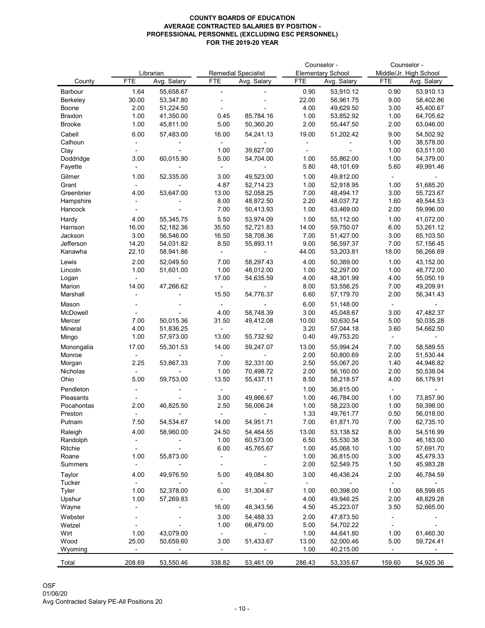|                 |            |             |            | Counselor -                |            |                          | Counselor - |                        |
|-----------------|------------|-------------|------------|----------------------------|------------|--------------------------|-------------|------------------------|
|                 |            | Librarian   |            | <b>Remedial Specialist</b> |            | <b>Elementary School</b> |             | Middle/Jr. High School |
| County          | <b>FTE</b> | Avg. Salary | <b>FTE</b> | Avg. Salary                | <b>FTE</b> | Avg. Salary              | <b>FTE</b>  | Avg. Salary            |
| <b>Barbour</b>  | 1.64       | 55,658.67   |            |                            | 0.90       | 53,910.12                | 0.90        | 53,910.13              |
| <b>Berkeley</b> | 30.00      | 53,347.80   |            |                            | 22.00      | 56,961.75                | 9.00        | 58,402.86              |
| <b>Boone</b>    | 2.00       | 51,224.50   |            |                            | 4.00       | 49,629.50                | 3.00        | 45,400.67              |
| <b>Braxton</b>  | 1.00       | 41,350.00   | 0.45       | 85,784.16                  | 1.00       | 53,852.92                | 1.00        | 64,705.62              |
| <b>Brooke</b>   | 1.00       | 45,811.00   | 5.00       | 50,360.20                  | 2.00       | 55,447.50                | 2.00        | 63,046.00              |
|                 |            |             |            |                            |            |                          |             |                        |
| Cabell          | 6.00       | 57,483.00   | 16.00      | 54,241.13                  | 19.00      | 51,202.42                | 9.00        | 54,502.92              |
| Calhoun         |            |             |            |                            |            |                          | 1.00        | 38,578.00              |
| Clay            |            |             | 1.00       | 39,627.00                  |            |                          | 1.00        | 63,511.00              |
| Doddridge       | 3.00       | 60,015.90   | 5.00       | 54,704.00                  | 1.00       | 55,862.00                | 1.00        | 54,379.00              |
| Fayette         |            |             |            |                            | 5.80       | 48,101.69                | 5.60        | 49,991.46              |
| Gilmer          | 1.00       | 52,335.00   | 3.00       | 49,523.00                  | 1.00       | 49,812.00                | $\sim$      |                        |
| Grant           |            |             | 4.87       | 52,714.23                  | 1.00       | 52,918.95                | 1.00        | 51,685.20              |
| Greenbrier      | 4.00       | 53,647.00   | 13.00      | 52,058.25                  | 7.00       | 48,494.17                | 3.00        | 55,723.67              |
| Hampshire       |            |             | 8.00       | 48,872.50                  | 2.20       | 48,037.72                | 1.60        | 49,544.53              |
| Hancock         |            |             | 7.00       | 50,413.93                  | 1.00       | 63,469.00                | 2.00        | 59,996.00              |
| Hardy           | 4.00       | 55,345.75   | 5.50       | 53,974.09                  | 1.00       | 55,112.00                | 1.00        | 41,072.00              |
| Harrison        | 16.00      | 52,182.36   | 35.50      | 52,721.83                  | 14.00      | 59,750.07                | 6.00        | 53,261.12              |
| Jackson         | 3.00       | 56,546.00   | 16.50      | 58,708.36                  | 7.00       | 51,427.00                | 3.00        | 65,103.50              |
| Jefferson       | 14.20      | 54,031.82   | 8.50       | 55,893.11                  | 9.00       | 56,597.37                | 7.00        | 57,156.45              |
| Kanawha         | 22.10      | 58,941.86   |            |                            | 44.00      | 53,203.81                | 18.00       | 56,266.69              |
|                 |            |             |            |                            |            |                          |             |                        |
| Lewis           | 2.00       | 52,049.50   | 7.00       | 58,297.43                  | 4.00       | 50,389.00                | 1.00        | 43,152.00              |
| Lincoln         | 1.00       | 51,601.00   | 1.00       | 48,012.00                  | 1.00       | 52,297.00                | 1.00        | 48,772.00              |
| Logan           |            |             | 17.00      | 54,635.59                  | 4.00       | 48,301.99                | 4.00        | 55,050.19              |
| Marion          | 14.00      | 47,266.62   |            |                            | 8.00       | 53,556.25                | 7.00        | 49,209.91              |
| Marshall        |            |             | 15.50      | 54,776.37                  | 6.60       | 57,179.70                | 2.00        | 56,341.43              |
| Mason           |            |             |            |                            | 6.00       | 51,148.00                |             |                        |
| McDowell        |            |             | 4.00       | 58,748.39                  | 3.00       | 45,048.67                | 3.00        | 47,482.37              |
| Mercer          | 7.00       | 50,015.36   | 31.50      | 49,412.08                  | 10.00      | 50,630.54                | 5.00        | 50,035.28              |
| <b>Mineral</b>  | 4.00       | 51,836.25   |            |                            | 3.20       | 57,044.18                | 3.60        | 54,662.50              |
| Mingo           | 1.00       | 57,973.00   | 13.00      | 55,732.92                  | 0.40       | 49,753.20                |             |                        |
| Monongalia      | 17.00      | 55,301.53   | 14.00      | 59,247.07                  | 13.00      | 55,994.24                | 7.00        | 58,589.55              |
| Monroe          |            |             |            |                            | 2.00       | 50,800.69                | 2.00        | 51,530.44              |
| Morgan          | 2.25       | 53,867.33   | 7.00       | 52,331.00                  | 2.50       | 55,067.20                | 1.40        | 44,946.82              |
| Nicholas        |            |             | 1.00       | 70,498.72                  | 2.00       | 56,160.00                | 2.00        | 50,538.04              |
| Ohio            | 5.00       | 59,753.00   | 13.50      | 55,437.11                  | 8.50       | 58,218.57                | 4.00        | 68,179.91              |
|                 |            |             |            |                            |            |                          |             |                        |
| Pendleton       |            |             |            |                            | 1.00       | 36,815.00                |             |                        |
| Pleasants       |            |             | 3.00       | 49,866.67                  | 1.00       | 46,784.00                | 1.00        | 73,857.90              |
| Pocahontas      | 2.00       | 46,825.50   | 2.50       | 56,006.24                  | 1.00       | 58,223.00                | 1.00        | 59,398.00              |
| Preston         |            |             |            |                            | 1.33       | 49,761.77                | 0.50        | 56,018.00              |
| Putnam          | 7.50       | 54,534.67   | 14.00      | 54,951.71                  | 7.00       | 61,871.70                | 7.00        | 62,735.10              |
| Raleigh         | 4.00       | 58,960.00   | 24.50      | 54,464.55                  | 13.00      | 53,138.52                | 8.00        | 54,516.99              |
| Randolph        |            |             | 1.00       | 60,573.00                  | 6.50       | 55,530.38                | 3.00        | 46,183.00              |
| Ritchie         |            |             | 6.00       | 45,765.67                  | 1.00       | 45,068.10                | 1.00        | 57,691.70              |
| Roane           | 1.00       | 55,873.00   |            |                            | 1.00       | 36,815.00                | 3.00        | 45,479.33              |
| <b>Summers</b>  |            |             |            |                            | 2.00       | 52,549.75                | 1.50        | 45,983.28              |
| Taylor          | 4.00       | 49,976.50   | 5.00       | 49,084.80                  | 3.00       | 46,436.24                | 2.00        | 46,784.59              |
| <b>Tucker</b>   |            |             |            |                            |            |                          |             |                        |
| <b>Tyler</b>    | 1.00       | 52,378.00   | 6.00       | 51,304.67                  | 1.00       | 60,398.00                | 1.00        | 68,599.65              |
| Upshur          | 1.00       | 57,269.83   |            |                            | 4.00       | 49,946.25                | 2.00        | 48,829.28              |
|                 |            |             | 16.00      | 48,343.56                  | 4.50       | 45,223.07                | 3.50        | 52,665.00              |
| Wayne           |            |             |            |                            |            |                          |             |                        |
| Webster         |            |             | 3.00       | 54,488.33                  | 2.00       | 47,873.50                |             |                        |
| Wetzel          |            |             | 1.00       | 66,479.00                  | 5.00       | 54,702.22                |             |                        |
| Wirt            | 1.00       | 43,079.00   |            |                            | 1.00       | 44,641.80                | 1.00        | 61,460.30              |
| Wood            | 25.00      | 50,659.60   | 3.00       | 51,433.67                  | 13.00      | 52,000.46                | 5.00        | 59,724.41              |
| Wyoming         |            |             |            |                            | 1.00       | 40,215.00                |             |                        |
| Total           | 208.69     | 53,550.46   | 338.82     | 53,461.09                  | 286.43     | 53,335.67                | 159.60      | 54,925.36              |
|                 |            |             |            |                            |            |                          |             |                        |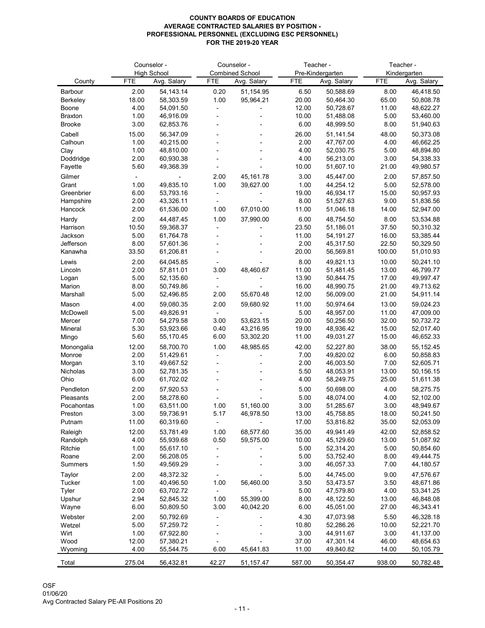|                      |               | Counselor -<br><b>High School</b> |                | Counselor -<br><b>Combined School</b> | Teacher -<br>Pre-Kindergarten |                        |                 | Teacher -<br>Kindergarten |
|----------------------|---------------|-----------------------------------|----------------|---------------------------------------|-------------------------------|------------------------|-----------------|---------------------------|
| County               | <b>FTE</b>    | Avg. Salary                       | <b>FTE</b>     | Avg. Salary                           | <b>FTE</b>                    | Avg. Salary            | <b>FTE</b>      | Avg. Salary               |
| <b>Barbour</b>       | 2.00          | 54, 143. 14                       | 0.20           | 51,154.95                             | 6.50                          | 50,588.69              | 8.00            | 46,418.50                 |
| Berkeley             | 18.00         | 58,303.59                         | 1.00           | 95,964.21                             | 20.00                         | 50,464.30              | 65.00           | 50,808.78                 |
| <b>Boone</b>         | 4.00          | 54,091.50                         |                |                                       | 12.00                         | 50,728.67              | 11.00           | 48,622.27                 |
| <b>Braxton</b>       | 1.00          | 46,916.09                         |                |                                       | 10.00                         | 51,488.08              | 5.00            | 53,460.00                 |
| <b>Brooke</b>        | 3.00          | 62,853.76                         |                |                                       | 6.00                          | 48,999.50              | 8.00            | 51,940.63                 |
| Cabell               | 15.00         | 56,347.09                         |                |                                       | 26.00                         | 51,141.54              | 48.00           | 50,373.08                 |
| Calhoun              | 1.00          | 40,215.00                         |                |                                       | 2.00                          | 47,767.00              | 4.00            | 46,662.25                 |
| Clay<br>Doddridge    | 1.00<br>2.00  | 48,810.00<br>60,930.38            |                |                                       | 4.00<br>4.00                  | 52,030.75<br>56,213.00 | 5.00<br>3.00    | 48,894.80<br>54,338.33    |
| Fayette              | 5.60          | 49,368.39                         |                |                                       | 10.00                         | 51,607.10              | 21.00           | 49,980.57                 |
| Gilmer               |               |                                   | 2.00           | 45, 161. 78                           | 3.00                          | 45,447.00              | 2.00            | 57,857.50                 |
| Grant                | 1.00          | 49,835.10                         | 1.00           | 39,627.00                             | 1.00                          | 44,254.12              | 5.00            | 52,578.00                 |
| Greenbrier           | 6.00          | 53,793.16                         |                |                                       | 19.00                         | 46,934.17              | 15.00           | 50,957.93                 |
| Hampshire            | 2.00          | 43,326.11                         |                |                                       | 8.00                          | 51,527.63              | 9.00            | 51,836.56                 |
| Hancock              | 2.00          | 61,536.00                         | 1.00           | 67,010.00                             | 11.00                         | 51,046.18              | 14.00           | 52,947.00                 |
| Hardy                | 2.00          | 44,487.45                         | 1.00           | 37,990.00                             | 6.00                          | 48,754.50              | 8.00            | 53,534.88                 |
| Harrison             | 10.50         | 59,368.37                         |                |                                       | 23.50                         | 51,186.01              | 37.50           | 50,310.32                 |
| Jackson              | 5.00          | 61,764.78                         |                |                                       | 11.00                         | 54, 191.27             | 16.00           | 53,385.44                 |
| Jefferson<br>Kanawha | 8.00<br>33.50 | 57,601.36<br>61,206.81            |                |                                       | 2.00<br>20.00                 | 45,317.50<br>56,569.81 | 22.50<br>100.00 | 50,329.50<br>51,010.93    |
|                      |               |                                   |                |                                       |                               |                        |                 |                           |
| Lewis<br>Lincoln     | 2.00<br>2.00  | 64,045.85<br>57,811.01            | 3.00           | 48,460.67                             | 8.00<br>11.00                 | 49,821.13<br>51,481.45 | 10.00<br>13.00  | 50,241.10<br>46,799.77    |
| Logan                | 5.00          | 52,135.60                         |                |                                       | 13.90                         | 50,844.75              | 17.00           | 49,997.47                 |
| Marion               | 8.00          | 50,749.86                         |                |                                       | 16.00                         | 48,990.75              | 21.00           | 49,713.62                 |
| Marshall             | 5.00          | 52,496.85                         | 2.00           | 55,670.48                             | 12.00                         | 56,009.00              | 21.00           | 54,911.14                 |
| Mason                | 4.00          | 59,080.35                         | 2.00           | 59,680.92                             | 11.00                         | 50,974.64              | 13.00           | 59,024.23                 |
| McDowell             | 5.00          | 49,826.91                         | $\blacksquare$ |                                       | 5.00                          | 48,957.00              | 11.00           | 47,009.00                 |
| Mercer               | 7.00          | 54,279.58                         | 3.00           | 53,623.15                             | 20.00                         | 50,256.50              | 32.00           | 50,732.72                 |
| <b>Mineral</b>       | 5.30          | 53,923.66                         | 0.40           | 43,216.95                             | 19.00                         | 48,936.42              | 15.00           | 52,017.40                 |
| Mingo                | 5.60          | 55,170.45                         | 6.00           | 53,302.20                             | 11.00                         | 49,031.27              | 15.00           | 46,652.33                 |
| Monongalia           | 12.00         | 58,700.70                         | 1.00           | 48,985.65                             | 42.00                         | 52,227.80              | 38.00           | 55,152.45                 |
| Monroe               | 2.00<br>3.10  | 51,429.61<br>49,667.52            |                |                                       | 7.00<br>2.00                  | 49,820.02<br>46,003.50 | 6.00<br>7.00    | 50,858.83<br>52,605.71    |
| Morgan<br>Nicholas   | 3.00          | 52,781.35                         |                |                                       | 5.50                          | 48,053.91              | 13.00           | 50,156.15                 |
| Ohio                 | 6.00          | 61,702.02                         |                |                                       | 4.00                          | 58,249.75              | 25.00           | 51,611.38                 |
| Pendleton            | 2.00          | 57,920.53                         |                |                                       | 5.00                          | 50,698.00              | 4.00            | 58,275.75                 |
| Pleasants            | 2.00          | 58,278.60                         |                |                                       | 5.00                          | 48,074.00              | 4.00            | 52,102.00                 |
| Pocahontas           | 1.00          | 63,511.00                         | 1.00           | 51,160.00                             | 3.00                          | 51,285.67              | 3.00            | 48,949.67                 |
| Preston              | 3.00          | 59,736.91                         | 5.17           | 46,978.50                             | 13.00                         | 45,758.85              | 18.00           | 50,241.50                 |
| Putnam               | 11.00         | 60,319.60                         |                |                                       | 17.00                         | 53,816.82              | 35.00           | 52,053.09                 |
| Raleigh              | 12.00         | 53,781.49                         | 1.00           | 68,577.60                             | 35.00                         | 49,941.49              | 42.00           | 52,858.52                 |
| Randolph             | 4.00          | 55,939.68                         | 0.50           | 59,575.00                             | 10.00                         | 45,129.60              | 13.00           | 51,087.92                 |
| Ritchie<br>Roane     | 1.00<br>2.00  | 55,617.10<br>56,208.05            |                |                                       | 5.00<br>5.00                  | 52,314.20<br>53,752.40 | 5.00<br>8.00    | 50,854.60<br>49,444.75    |
| <b>Summers</b>       | 1.50          | 49,569.29                         |                |                                       | 3.00                          | 46,057.33              | 7.00            | 44,180.57                 |
| Taylor               | 2.00          | 48,372.32                         |                |                                       | 5.00                          | 44,745.00              | 9.00            | 47,576.67                 |
| Tucker               | 1.00          | 40,496.50                         | 1.00           | 56,460.00                             | 3.50                          | 53,473.57              | 3.50            | 48,671.86                 |
| Tyler                | 2.00          | 63,702.72                         |                |                                       | 5.00                          | 47,579.80              | 4.00            | 53,341.25                 |
| Upshur               | 2.94          | 52,845.32                         | 1.00           | 55,399.00                             | 8.00                          | 48,122.50              | 13.00           | 46,848.08                 |
| Wayne                | 6.00          | 50,809.50                         | 3.00           | 40,042.20                             | 6.00                          | 45,051.00              | 27.00           | 46,343.41                 |
| Webster              | 2.00          | 50,792.69                         |                |                                       | 4.30                          | 47,073.98              | 5.50            | 46,328.18                 |
| Wetzel               | 5.00          | 57,259.72                         |                |                                       | 10.80                         | 52,286.26              | 10.00           | 52,221.70                 |
| Wirt                 | 1.00          | 67,922.80                         |                |                                       | 3.00                          | 44,911.67              | 3.00            | 41,137.00                 |
| Wood                 | 12.00<br>4.00 | 57,380.21<br>55,544.75            | 6.00           |                                       | 37.00<br>11.00                | 47,301.14<br>49,840.82 | 46.00           | 48,654.63                 |
| Wyoming              |               |                                   |                | 45,641.83                             |                               |                        | 14.00           | 50,105.79                 |
| Total                | 275.04        | 56,432.81                         | 42.27          | 51, 157. 47                           | 587.00                        | 50,354.47              | 938.00          | 50,782.48                 |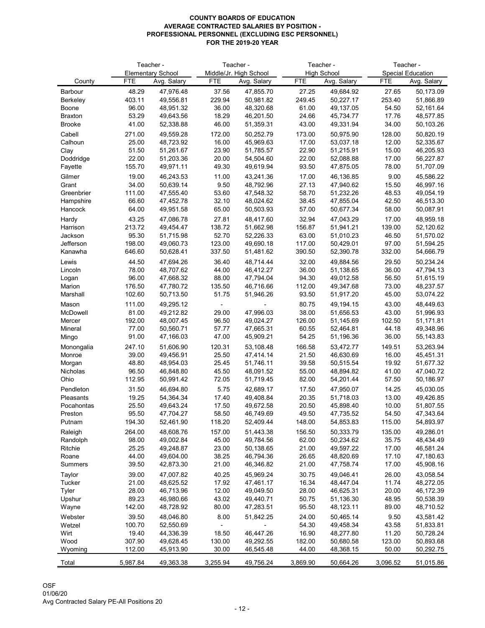|                 |            | Teacher -                |            | Teacher -              | Teacher -  |                    | Teacher -  |                          |  |
|-----------------|------------|--------------------------|------------|------------------------|------------|--------------------|------------|--------------------------|--|
|                 |            | <b>Elementary School</b> |            | Middle/Jr. High School |            | <b>High School</b> |            | <b>Special Education</b> |  |
| County          | <b>FTE</b> | Avg. Salary              | <b>FTE</b> | Avg. Salary            | <b>FTE</b> | Avg. Salary        | <b>FTE</b> | Avg. Salary              |  |
| <b>Barbour</b>  | 48.29      | 47,976.48                | 37.56      | 47,855.70              | 27.25      | 49,684.92          | 27.65      | 50,173.09                |  |
| <b>Berkeley</b> | 403.11     | 49,556.81                | 229.94     | 50,981.82              | 249.45     | 50,227.17          | 253.40     | 51,866.89                |  |
| <b>Boone</b>    | 96.00      | 48,951.32                | 36.00      | 48,320.68              | 61.00      | 49,137.05          | 54.50      | 52,161.64                |  |
| <b>Braxton</b>  | 53.29      | 49,643.56                | 18.29      | 46,201.50              | 24.66      | 45,734.77          | 17.76      | 48,577.85                |  |
| <b>Brooke</b>   | 41.00      | 52,338.88                | 46.00      | 51,359.31              | 43.00      | 49,331.94          | 34.00      | 50,103.26                |  |
| Cabell          | 271.00     | 49,559.28                | 172.00     | 50,252.79              | 173.00     | 50,975.90          | 128.00     | 50,820.19                |  |
| Calhoun         | 25.00      | 48,723.92                | 16.00      | 45,969.63              | 17.00      | 53,037.18          | 12.00      | 52,335.67                |  |
| Clay            | 51.50      | 51,261.67                | 23.90      | 51,785.57              | 22.90      | 51,215.91          | 15.00      | 46,205.93                |  |
| Doddridge       | 22.00      | 51,203.36                | 20.00      | 54,504.60              | 22.00      | 52,088.88          | 17.00      | 56,227.87                |  |
| Fayette         | 155.70     | 49,971.11                | 49.30      | 49,619.94              | 93.50      | 47,875.05          | 78.00      | 51,707.09                |  |
| Gilmer          | 19.00      | 46,243.53                | 11.00      | 43,241.36              | 17.00      | 46,136.85          | 9.00       | 45,586.22                |  |
| Grant           | 34.00      | 50,639.14                | 9.50       | 48,792.96              | 27.13      | 47,940.62          | 15.50      | 46,997.16                |  |
| Greenbrier      | 111.00     | 47,555.40                | 53.60      | 47,548.32              | 58.70      | 51,232.26          | 48.53      | 49,054.19                |  |
| Hampshire       | 66.60      | 47,452.78                | 32.10      | 48,024.62              | 38.45      | 47,855.04          | 42.50      | 46,513.30                |  |
| Hancock         | 64.00      | 49,951.58                | 65.00      | 50,503.93              | 57.00      | 50,677.34          | 58.00      | 50,087.91                |  |
| Hardy           | 43.25      | 47,086.78                | 27.81      | 48,417.60              | 32.94      | 47,043.29          | 17.00      | 48,959.18                |  |
| Harrison        | 213.72     | 49,454.47                | 138.72     | 51,662.98              | 156.87     | 51,941.21          | 139.00     | 52,120.62                |  |
| Jackson         | 95.30      | 51,715.98                | 52.70      | 52,226.33              | 63.00      | 51,010.23          | 46.50      | 51,570.02                |  |
| Jefferson       | 198.00     | 49,060.73                | 123.00     | 49,690.18              | 117.00     | 50,429.01          | 97.00      | 51,594.25                |  |
| Kanawha         | 646.60     | 50,628.41                | 337.50     | 51,481.62              | 390.50     | 52,390.78          | 332.00     | 54,666.79                |  |
| Lewis           | 44.50      | 47,694.26                | 36.40      | 48,714.44              | 32.00      | 49,884.56          | 29.50      | 50,234.24                |  |
| Lincoln         | 78.00      | 48,707.62                | 44.00      | 46,412.27              | 36.00      | 51,138.65          | 36.00      | 47,794.13                |  |
| Logan           | 96.00      | 47,668.32                | 88.00      | 47,794.04              | 94.30      | 49,012.58          | 56.50      | 51,615.19                |  |
| Marion          | 176.50     | 47,780.72                | 135.50     | 46,716.66              | 112.00     | 49,347.68          | 73.00      | 48,237.57                |  |
| Marshall        | 102.60     | 50,713.50                | 51.75      | 51,946.26              | 93.50      | 51,917.20          | 45.00      | 53,074.22                |  |
| Mason           | 111.00     | 49,295.12                |            |                        | 80.75      | 49,194.15          | 43.00      | 48,449.63                |  |
| McDowell        | 81.00      | 49,212.82                | 29.00      | 47,996.03              | 38.00      | 51,656.53          | 43.00      | 51,996.93                |  |
| Mercer          | 192.00     | 48,007.45                | 96.50      | 49,024.27              | 126.00     | 51,145.69          | 102.50     | 51,171.81                |  |
| <b>Mineral</b>  | 77.00      | 50,560.71                | 57.77      | 47,665.31              | 60.55      | 52,464.81          | 44.18      | 49,348.96                |  |
| Mingo           | 91.00      | 47,166.03                | 47.00      | 45,909.21              | 54.25      | 51,196.36          | 36.00      | 55,143.83                |  |
| Monongalia      | 247.10     | 51,606.90                | 120.31     | 53,108.48              | 166.58     | 53,472.77          | 149.51     | 53,263.94                |  |
| Monroe          | 39.00      | 49,456.91                | 25.50      | 47,414.14              | 21.50      | 46,630.69          | 16.00      | 45,451.31                |  |
| Morgan          | 48.80      | 48,954.03                | 25.45      | 51,746.11              | 39.58      | 50,515.54          | 19.92      | 51,677.32                |  |
| Nicholas        | 96.50      | 46,848.80                | 45.50      | 48,091.52              | 55.00      | 48,894.82          | 41.00      | 47,040.72                |  |
| Ohio            | 112.95     | 50,991.42                | 72.05      | 51,719.45              | 82.00      | 54,201.44          | 57.50      | 50,186.97                |  |
| Pendleton       | 31.50      | 46,694.80                | 5.75       | 42,689.17              | 17.50      | 47,950.07          | 14.25      | 45,030.05                |  |
| Pleasants       | 19.25      | 54,364.34                | 17.40      | 49,408.84              | 20.35      | 51,718.03          | 13.00      | 49,426.85                |  |
| Pocahontas      | 25.50      | 49,643.24                | 17.50      | 49,672.58              | 20.50      | 45,898.40          | 10.00      | 51,807.55                |  |
| Preston         | 95.50      | 47,704.27                | 58.50      | 46,749.69              | 49.50      | 47,735.52          | 54.50      | 47,343.64                |  |
| Putnam          | 194.30     | 52,461.90                | 118.20     | 52,409.44              | 148.00     | 54,853.83          | 115.00     | 54,893.97                |  |
| Raleigh         | 264.00     | 48,608.76                | 157.00     | 51,443.38              | 156.50     | 50,333.79          | 135.00     | 49,286.01                |  |
| Randolph        | 98.00      | 49,002.84                | 45.00      | 49,784.56              | 62.00      | 50,234.62          | 35.75      | 48,434.49                |  |
| Ritchie         | 25.25      | 49,248.87                | 23.00      | 50,138.65              | 21.00      | 49,597.22          | 17.00      | 46,581.24                |  |
| Roane           | 44.00      | 49,604.00                | 38.25      | 46,794.36              | 26.65      | 48,820.69          | 17.10      | 47,180.63                |  |
| <b>Summers</b>  | 39.50      | 42,873.30                | 21.00      | 46,346.82              | 21.00      | 47,758.74          | 17.00      | 45,908.16                |  |
| Taylor          | 39.00      | 47,007.82                | 40.25      | 45,969.24              | 30.75      | 49,046.41          | 26.00      | 43,058.54                |  |
| Tucker          | 21.00      | 48,625.52                | 17.92      | 47,461.17              | 16.34      | 48,447.04          | 11.74      | 48,272.05                |  |
| Tyler           | 28.00      | 46,713.96                | 12.00      | 49,049.50              | 28.00      | 46,625.31          | 20.00      | 46,172.39                |  |
| Upshur          | 89.23      | 46,980.66                | 43.02      | 49,440.71              | 50.75      | 51,136.30          | 48.95      | 50,538.39                |  |
| Wayne           | 142.00     | 48,728.92                | 80.00      | 47,283.51              | 95.50      | 48,123.11          | 89.00      | 48,710.52                |  |
| Webster         | 39.50      | 48,046.80                | 8.00       | 51,842.25              | 24.00      | 50,465.14          | 9.50       | 43,581.42                |  |
| Wetzel          | 100.70     | 52,550.69                |            |                        | 54.30      | 49,458.34          | 43.58      | 51,833.81                |  |
| Wirt            | 19.40      | 44,336.39                | 18.50      | 46,447.26              | 16.90      | 48,277.80          | 11.20      | 50,728.24                |  |
| Wood            | 307.90     | 49,628.45                | 130.00     | 49,292.55              | 182.00     | 50,680.58          | 123.00     | 50,893.68                |  |
| Wyoming         | 112.00     | 45,913.90                | 30.00      | 46,545.48              | 44.00      | 48,368.15          | 50.00      | 50,292.75                |  |
| Total           | 5,987.84   | 49,363.38                | 3,255.94   | 49,756.24              | 3,869.90   | 50,664.26          | 3,096.52   | 51,015.86                |  |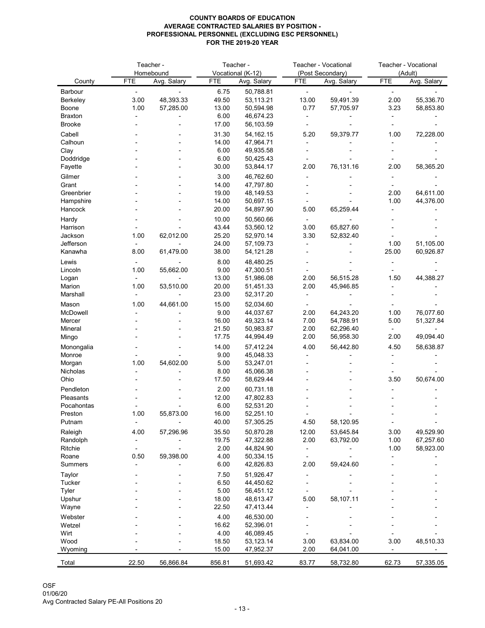|                       |                | Teacher -                |                | Teacher -                        |                | <b>Teacher - Vocational</b>     |                | <b>Teacher - Vocational</b> |
|-----------------------|----------------|--------------------------|----------------|----------------------------------|----------------|---------------------------------|----------------|-----------------------------|
| County                | <b>FTE</b>     | Homebound<br>Avg. Salary | <b>FTE</b>     | Vocational (K-12)<br>Avg. Salary | <b>FTE</b>     | (Post Secondary)<br>Avg. Salary | <b>FTE</b>     | (Adult)<br>Avg. Salary      |
| Barbour               | $\blacksquare$ |                          | 6.75           | 50,788.81                        | $\blacksquare$ |                                 | $\blacksquare$ |                             |
| <b>Berkeley</b>       | 3.00           | 48,393.33                | 49.50          | 53,113.21                        | 13.00          | 59,491.39                       | 2.00           | 55,336.70                   |
| <b>Boone</b>          | 1.00           | 57,285.00                | 13.00          | 50,594.98                        | 0.77           | 57,705.97                       | 3.23           | 58,853.80                   |
| <b>Braxton</b>        |                |                          | 6.00           | 46,674.23                        |                |                                 |                |                             |
| <b>Brooke</b>         |                |                          | 17.00          | 56,103.59                        |                |                                 |                |                             |
| Cabell                |                |                          | 31.30          | 54, 162. 15                      | 5.20           | 59,379.77                       | 1.00           | 72,228.00                   |
| Calhoun               |                |                          | 14.00          | 47,964.71                        |                |                                 |                |                             |
| Clay                  |                |                          | 6.00           | 49,935.58                        |                |                                 |                |                             |
| Doddridge             |                |                          | 6.00           | 50,425.43                        |                |                                 |                |                             |
| Fayette               |                |                          | 30.00          | 53,844.17                        | 2.00           | 76,131.16                       | 2.00           | 58,365.20                   |
| Gilmer                |                |                          | 3.00           | 46,762.60                        |                |                                 |                |                             |
| Grant                 |                |                          | 14.00          | 47,797.80                        |                |                                 |                |                             |
| Greenbrier            |                |                          | 19.00          | 48,149.53                        |                |                                 | 2.00           | 64,611.00                   |
| Hampshire             |                |                          | 14.00          | 50,697.15                        |                |                                 | 1.00           | 44,376.00                   |
| Hancock               |                |                          | 20.00          | 54,897.90                        | 5.00           | 65,259.44                       |                |                             |
| Hardy                 |                |                          | 10.00          | 50,560.66                        | $\blacksquare$ |                                 |                |                             |
| Harrison              |                |                          | 43.44          | 53,560.12                        | 3.00           | 65,827.60                       |                |                             |
| Jackson               | 1.00           | 62,012.00                | 25.20          | 52,970.14                        | 3.30           | 52,832.40                       |                |                             |
| Jefferson             |                |                          | 24.00          | 57,109.73                        |                |                                 | 1.00           | 51,105.00                   |
| Kanawha               | 8.00           | 61,479.00                | 38.00          | 54,121.28                        |                |                                 | 25.00          | 60,926.87                   |
| Lewis                 |                |                          | 8.00           | 48,480.25                        |                |                                 |                |                             |
| Lincoln               | 1.00           | 55,662.00                | 9.00           | 47,300.51                        |                |                                 |                |                             |
| Logan                 |                |                          | 13.00          | 51,986.08                        | 2.00           | 56,515.28                       | 1.50           | 44,388.27                   |
| Marion                | 1.00           | 53,510.00                | 20.00          | 51,451.33                        | 2.00           | 45,946.85                       |                |                             |
| Marshall              |                |                          | 23.00          | 52,317.20                        |                |                                 |                |                             |
| Mason                 | 1.00           | 44,661.00                | 15.00          | 52,034.60                        |                |                                 |                |                             |
| McDowell              |                |                          | 9.00           | 44,037.67                        | 2.00           | 64,243.20                       | 1.00           | 76,077.60                   |
| Mercer                |                |                          | 16.00          | 49,323.14                        | 7.00           | 54,788.91                       | 5.00           | 51,327.84                   |
| Mineral               |                |                          | 21.50          | 50,983.87                        | 2.00           | 62,296.40                       |                |                             |
| Mingo                 |                |                          | 17.75          | 44,994.49                        | 2.00           | 56,958.30                       | 2.00           | 49,094.40                   |
| Monongalia            |                |                          | 14.00          | 57,412.24                        | 4.00           | 56,442.80                       | 4.50           | 58,638.87                   |
| Monroe                |                |                          | 9.00           | 45,048.33                        |                |                                 |                |                             |
| Morgan                | 1.00           | 54,602.00                | 5.00           | 53,247.01                        |                |                                 |                |                             |
| Nicholas<br>Ohio      |                |                          | 8.00           | 45,066.38                        |                |                                 | 3.50           | 50,674.00                   |
|                       |                |                          | 17.50          | 58,629.44                        |                |                                 |                |                             |
| Pendleton             |                |                          | 2.00           | 60,731.18                        |                |                                 |                |                             |
| Pleasants             |                |                          | 12.00          | 47,802.83                        |                |                                 |                |                             |
| Pocahontas<br>Preston | 1.00           | 55,873.00                | 6.00<br>16.00  | 52,531.20<br>52,251.10           |                |                                 |                |                             |
| Putnam                |                |                          | 40.00          | 57,305.25                        | 4.50           | 58,120.95                       |                |                             |
|                       |                |                          |                |                                  |                |                                 |                |                             |
| Raleigh               | 4.00           | 57,296.96                | 35.50<br>19.75 | 50,870.28<br>47,322.88           | 12.00<br>2.00  | 53,645.84                       | 3.00<br>1.00   | 49,529.90                   |
| Randolph<br>Ritchie   |                |                          | 2.00           | 44,824.90                        |                | 63,792.00                       | 1.00           | 67,257.60<br>58,923.00      |
| Roane                 | 0.50           | 59,398.00                | 4.00           | 50,334.15                        |                |                                 |                |                             |
| <b>Summers</b>        |                |                          | 6.00           | 42,826.83                        | 2.00           | 59,424.60                       |                |                             |
|                       |                |                          | 7.50           | 51,926.47                        |                |                                 |                |                             |
| Taylor<br>Tucker      |                |                          | 6.50           | 44,450.62                        |                |                                 |                |                             |
| Tyler                 |                |                          | 5.00           | 56,451.12                        |                |                                 |                |                             |
| Upshur                |                |                          | 18.00          | 48,613.47                        | 5.00           | 58,107.11                       |                |                             |
| Wayne                 |                |                          | 22.50          | 47,413.44                        |                |                                 |                |                             |
| Webster               |                |                          | 4.00           | 46,530.00                        |                |                                 |                |                             |
| Wetzel                |                |                          | 16.62          | 52,396.01                        |                |                                 |                |                             |
| Wirt                  |                |                          | 4.00           | 46,089.45                        |                |                                 |                |                             |
| Wood                  |                |                          | 18.50          | 53,123.14                        | 3.00           | 63,834.00                       | 3.00           | 48,510.33                   |
| Wyoming               |                |                          | 15.00          | 47,952.37                        | 2.00           | 64,041.00                       |                |                             |
|                       |                |                          |                |                                  |                |                                 |                |                             |
| Total                 | 22.50          | 56,866.84                | 856.81         | 51,693.42                        | 83.77          | 58,732.80                       | 62.73          | 57,335.05                   |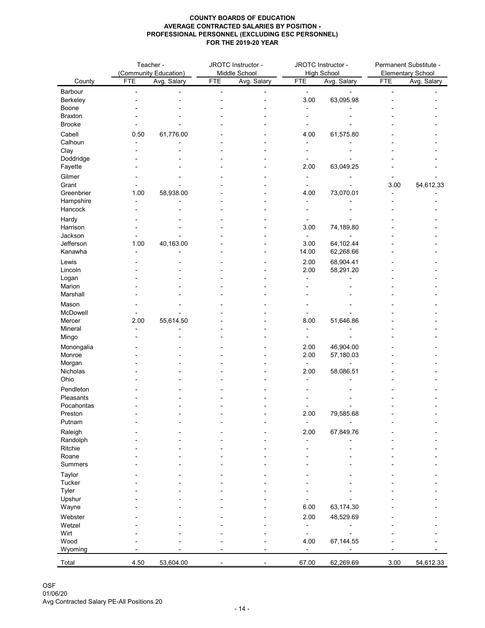|                 |            | Teacher -<br>(Community Education) | JROTC Instructor -<br>Middle School |                          | JROTC Instructor -<br><b>High School</b> |             | Permanent Substitute -<br><b>Elementary School</b> |             |
|-----------------|------------|------------------------------------|-------------------------------------|--------------------------|------------------------------------------|-------------|----------------------------------------------------|-------------|
| County          | <b>FTE</b> | Avg. Salary                        | <b>FTE</b>                          | Avg. Salary              | <b>FTE</b>                               | Avg. Salary | <b>FTE</b>                                         | Avg. Salary |
| Barbour         |            |                                    |                                     |                          | $\blacksquare$                           |             |                                                    |             |
| <b>Berkeley</b> |            |                                    |                                     |                          | 3.00                                     | 63,095.98   |                                                    |             |
| Boone           |            |                                    |                                     |                          |                                          |             |                                                    |             |
| <b>Braxton</b>  |            |                                    |                                     |                          |                                          |             |                                                    |             |
| <b>Brooke</b>   |            |                                    |                                     |                          |                                          |             |                                                    |             |
| Cabell          | 0.50       | 61,776.00                          |                                     |                          | 4.00                                     | 61,575.80   |                                                    |             |
| Calhoun         |            |                                    |                                     |                          |                                          |             |                                                    |             |
| Clay            |            |                                    |                                     |                          |                                          |             |                                                    |             |
| Doddridge       |            |                                    |                                     |                          |                                          |             |                                                    |             |
| Fayette         |            |                                    |                                     |                          | 2.00                                     | 63,049.25   |                                                    |             |
| Gilmer          |            |                                    |                                     |                          |                                          |             |                                                    |             |
| Grant           |            |                                    |                                     |                          | ۰                                        |             | 3.00                                               | 54,612.33   |
| Greenbrier      | 1.00       | 58,938.00                          |                                     |                          | 4.00                                     | 73,070.01   | $\blacksquare$                                     |             |
| Hampshire       |            |                                    |                                     |                          |                                          |             |                                                    |             |
| Hancock         |            |                                    |                                     |                          |                                          |             |                                                    |             |
| Hardy           |            |                                    |                                     |                          |                                          |             |                                                    |             |
| Harrison        |            |                                    |                                     |                          | 3.00                                     | 74,189.80   |                                                    |             |
| Jackson         |            |                                    |                                     |                          |                                          |             |                                                    |             |
| Jefferson       | 1.00       | 40,163.00                          |                                     |                          | 3.00                                     | 64,102.44   |                                                    |             |
| Kanawha         |            |                                    |                                     |                          | 14.00                                    | 62,268.66   |                                                    |             |
| Lewis           |            |                                    |                                     |                          | 2.00                                     | 68,904.41   |                                                    |             |
| Lincoln         |            |                                    |                                     |                          | 2.00                                     | 58,291.20   |                                                    |             |
| Logan           |            |                                    |                                     |                          |                                          |             |                                                    |             |
| Marion          |            |                                    |                                     |                          |                                          |             |                                                    |             |
| Marshall        |            |                                    |                                     |                          |                                          |             |                                                    |             |
| Mason           |            |                                    |                                     |                          |                                          |             |                                                    |             |
| McDowell        |            |                                    |                                     |                          |                                          |             |                                                    |             |
| Mercer          | 2.00       | 55,614.50                          |                                     |                          | 8.00                                     | 51,646.86   |                                                    |             |
| Mineral         |            |                                    |                                     |                          |                                          |             |                                                    |             |
| Mingo           |            |                                    |                                     |                          |                                          |             |                                                    |             |
| Monongalia      |            |                                    |                                     |                          | 2.00                                     | 46,904.00   |                                                    |             |
| Monroe          |            |                                    |                                     |                          | 2.00                                     | 57,180.03   |                                                    |             |
| Morgan          |            |                                    |                                     |                          | $\blacksquare$                           |             |                                                    |             |
| Nicholas        |            |                                    |                                     |                          | 2.00                                     | 58,086.51   |                                                    |             |
| Ohio            |            |                                    |                                     |                          |                                          |             |                                                    |             |
| Pendleton       |            |                                    |                                     |                          |                                          |             |                                                    |             |
| Pleasants       |            |                                    |                                     |                          |                                          |             |                                                    |             |
| Pocahontas      |            |                                    |                                     |                          |                                          |             |                                                    |             |
| Preston         |            |                                    |                                     |                          | 2.00                                     | 79,585.68   |                                                    |             |
| Putnam          |            |                                    |                                     |                          |                                          |             |                                                    |             |
| Raleigh         |            |                                    |                                     |                          | 2.00                                     | 67,849.76   |                                                    |             |
| Randolph        |            |                                    |                                     |                          |                                          |             |                                                    |             |
| Ritchie         |            |                                    |                                     |                          |                                          |             |                                                    |             |
| Roane           |            |                                    |                                     |                          |                                          |             |                                                    |             |
| <b>Summers</b>  |            |                                    |                                     |                          |                                          |             |                                                    |             |
| Taylor          |            |                                    |                                     |                          |                                          |             |                                                    |             |
| <b>Tucker</b>   |            |                                    |                                     |                          |                                          |             |                                                    |             |
| <b>Tyler</b>    |            |                                    |                                     |                          |                                          |             |                                                    |             |
| Upshur          |            |                                    |                                     |                          |                                          |             |                                                    |             |
| Wayne           |            |                                    |                                     |                          | 6.00                                     | 63,174.30   |                                                    |             |
| Webster         |            |                                    |                                     |                          | 2.00                                     |             |                                                    |             |
| Wetzel          |            |                                    |                                     |                          |                                          | 48,529.69   |                                                    |             |
| Wirt            |            |                                    |                                     |                          |                                          |             |                                                    |             |
| Wood            |            |                                    |                                     |                          | 4.00                                     | 67,144.55   |                                                    |             |
| Wyoming         |            |                                    | ۰                                   | $\overline{\phantom{a}}$ |                                          |             |                                                    |             |
|                 |            |                                    |                                     |                          |                                          |             |                                                    |             |
| Total           | 4.50       | 53,604.00                          | $\blacksquare$                      | ٠.                       | 67.00                                    | 62,269.69   | 3.00                                               | 54,612.33   |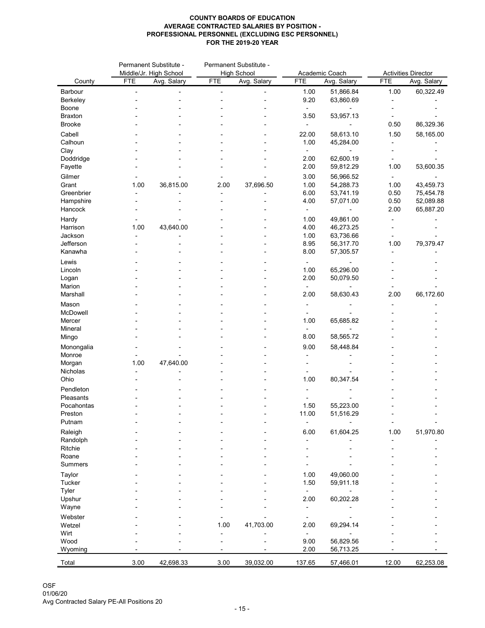|                      | Permanent Substitute - |                        |            | Permanent Substitute - |            |                |                            |             |
|----------------------|------------------------|------------------------|------------|------------------------|------------|----------------|----------------------------|-------------|
|                      |                        | Middle/Jr. High School |            | <b>High School</b>     |            | Academic Coach | <b>Activities Director</b> |             |
| County               | <b>FTE</b>             | Avg. Salary            | <b>FTE</b> | Avg. Salary            | <b>FTE</b> | Avg. Salary    | <b>FTE</b>                 | Avg. Salary |
| Barbour              |                        |                        |            |                        | 1.00       | 51,866.84      | 1.00                       | 60,322.49   |
| <b>Berkeley</b>      |                        |                        |            |                        | 9.20       | 63,860.69      |                            |             |
| <b>Boone</b>         |                        |                        |            |                        |            |                |                            |             |
| <b>Braxton</b>       |                        |                        |            |                        | 3.50       | 53,957.13      |                            |             |
| <b>Brooke</b>        |                        |                        |            |                        |            |                | 0.50                       | 86,329.36   |
| Cabell               |                        |                        |            |                        | 22.00      | 58,613.10      | 1.50                       | 58,165.00   |
| Calhoun              |                        |                        |            |                        | 1.00       | 45,284.00      |                            |             |
| Clay                 |                        |                        |            |                        |            |                |                            |             |
| Doddridge            |                        |                        |            |                        | 2.00       | 62,600.19      |                            |             |
| Fayette              |                        |                        |            |                        | 2.00       | 59,812.29      | 1.00                       | 53,600.35   |
| Gilmer               |                        |                        |            |                        | 3.00       | 56,966.52      |                            |             |
| Grant                | 1.00                   | 36,815.00              | 2.00       | 37,696.50              | 1.00       | 54,288.73      | 1.00                       | 43,459.73   |
| Greenbrier           |                        |                        |            |                        | 6.00       | 53,741.19      | 0.50                       | 75,454.78   |
| Hampshire            |                        |                        |            |                        | 4.00       | 57,071.00      | 0.50                       | 52,089.88   |
| Hancock              |                        |                        |            |                        |            |                | 2.00                       | 65,887.20   |
| Hardy                |                        |                        |            |                        | 1.00       | 49,861.00      |                            |             |
| Harrison             | 1.00                   | 43,640.00              |            |                        | 4.00       | 46,273.25      |                            |             |
| Jackson              |                        |                        |            |                        | 1.00       | 63,736.66      |                            |             |
| Jefferson            |                        |                        |            |                        | 8.95       | 56,317.70      | 1.00                       | 79,379.47   |
| Kanawha              |                        |                        |            |                        | 8.00       | 57,305.57      |                            |             |
| Lewis                |                        |                        |            |                        |            |                |                            |             |
| Lincoln              |                        |                        |            |                        | 1.00       | 65,296.00      |                            |             |
| Logan                |                        |                        |            |                        | 2.00       | 50,079.50      |                            |             |
| Marion               |                        |                        |            |                        |            |                |                            |             |
| Marshall             |                        |                        |            |                        | 2.00       | 58,630.43      | 2.00                       | 66,172.60   |
| Mason                |                        |                        |            |                        |            |                |                            |             |
| McDowell             |                        |                        |            |                        |            |                |                            |             |
| Mercer               |                        |                        |            |                        | 1.00       | 65,685.82      |                            |             |
| Mineral              |                        |                        |            |                        |            |                |                            |             |
| Mingo                |                        |                        |            |                        | 8.00       | 58,565.72      |                            |             |
|                      |                        |                        |            |                        | 9.00       | 58,448.84      |                            |             |
| Monongalia<br>Monroe |                        |                        |            |                        |            |                |                            |             |
| Morgan               | 1.00                   | 47,640.00              |            |                        |            |                |                            |             |
| Nicholas             |                        |                        |            |                        |            |                |                            |             |
| Ohio                 |                        |                        |            |                        | 1.00       | 80,347.54      |                            |             |
| Pendleton            |                        |                        |            |                        |            |                |                            |             |
| Pleasants            |                        |                        |            |                        |            |                |                            |             |
| Pocahontas           |                        |                        |            |                        | 1.50       | 55,223.00      |                            |             |
| Preston              |                        |                        |            |                        | 11.00      | 51,516.29      |                            |             |
| Putnam               |                        |                        |            |                        |            |                |                            |             |
|                      |                        |                        |            |                        |            |                | 1.00                       |             |
| Raleigh<br>Randolph  |                        |                        |            |                        | 6.00       | 61,604.25      |                            | 51,970.80   |
| Ritchie              |                        |                        |            |                        |            |                |                            |             |
| Roane                |                        |                        |            |                        |            |                |                            |             |
| <b>Summers</b>       |                        |                        |            |                        |            |                |                            |             |
|                      |                        |                        |            |                        |            |                |                            |             |
| Taylor<br>Tucker     |                        |                        |            |                        | 1.00       | 49,060.00      |                            |             |
| <b>Tyler</b>         |                        |                        |            |                        | 1.50       | 59,911.18      |                            |             |
| Upshur               |                        |                        |            |                        | 2.00       | 60,202.28      |                            |             |
| Wayne                |                        |                        |            |                        |            |                |                            |             |
|                      |                        |                        |            |                        |            |                |                            |             |
| Webster<br>Wetzel    |                        |                        |            |                        |            |                |                            |             |
| Wirt                 |                        |                        | 1.00       | 41,703.00              | 2.00       | 69,294.14      |                            |             |
| Wood                 |                        |                        |            |                        | 9.00       | 56,829.56      |                            |             |
| Wyoming              |                        |                        |            |                        | 2.00       | 56,713.25      |                            |             |
|                      |                        |                        |            |                        |            |                |                            |             |
| Total                | 3.00                   | 42,698.33              | 3.00       | 39,032.00              | 137.65     | 57,466.01      | 12.00                      | 62,253.08   |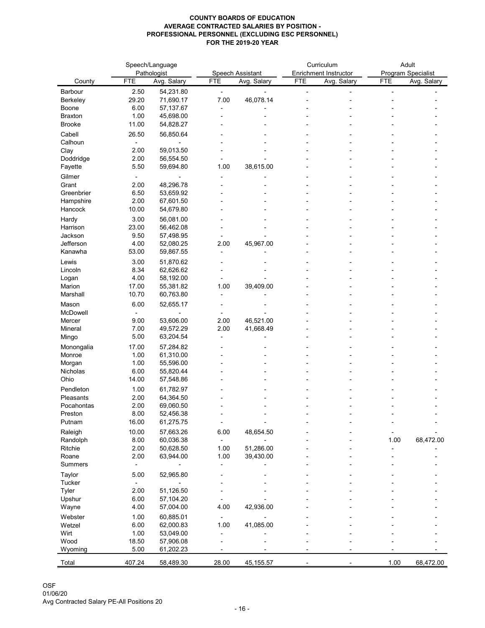|                                |                | Speech/Language        |            |                  |            | Curriculum                   | Adult      |                    |  |
|--------------------------------|----------------|------------------------|------------|------------------|------------|------------------------------|------------|--------------------|--|
|                                |                | Pathologist            |            | Speech Assistant |            | <b>Enrichment Instructor</b> |            | Program Specialist |  |
| County                         | <b>FTE</b>     | Avg. Salary            | <b>FTE</b> | Avg. Salary      | <b>FTE</b> | Avg. Salary                  | <b>FTE</b> | Avg. Salary        |  |
| Barbour                        | 2.50           | 54,231.80              |            |                  |            |                              |            |                    |  |
| Berkeley<br>Boone              | 29.20<br>6.00  | 71,690.17<br>57,137.67 | 7.00       | 46,078.14        |            |                              |            |                    |  |
| <b>Braxton</b>                 | 1.00           | 45,698.00              |            |                  |            |                              |            |                    |  |
| <b>Brooke</b>                  | 11.00          | 54,828.27              |            |                  |            |                              |            |                    |  |
| Cabell                         | 26.50          | 56,850.64              |            |                  |            |                              |            |                    |  |
| Calhoun                        |                |                        |            |                  |            |                              |            |                    |  |
| Clay                           | 2.00           | 59,013.50              |            |                  |            |                              |            |                    |  |
| Doddridge                      | 2.00           | 56,554.50              |            |                  |            |                              |            |                    |  |
| Fayette                        | 5.50           | 59,694.80              | 1.00       | 38,615.00        |            |                              |            |                    |  |
| Gilmer                         |                |                        |            |                  |            |                              |            |                    |  |
| Grant                          | 2.00           | 48,296.78              |            |                  |            |                              |            |                    |  |
| Greenbrier<br>Hampshire        | 6.50<br>2.00   | 53,659.92<br>67,601.50 |            |                  |            |                              |            |                    |  |
| Hancock                        | 10.00          | 54,679.80              |            |                  |            |                              |            |                    |  |
| Hardy                          | 3.00           | 56,081.00              |            |                  |            |                              |            |                    |  |
| Harrison                       | 23.00          | 56,462.08              |            |                  |            |                              |            |                    |  |
| Jackson                        | 9.50           | 57,498.95              |            |                  |            |                              |            |                    |  |
| Jefferson                      | 4.00           | 52,080.25              | 2.00       | 45,967.00        |            |                              |            |                    |  |
| Kanawha                        | 53.00          | 59,867.55              |            |                  |            |                              |            |                    |  |
| Lewis                          | 3.00           | 51,870.62              |            |                  |            |                              |            |                    |  |
| Lincoln                        | 8.34           | 62,626.62              |            |                  |            |                              |            |                    |  |
| Logan                          | 4.00           | 58,192.00              |            |                  |            |                              |            |                    |  |
| Marion<br>Marshall             | 17.00<br>10.70 | 55,381.82<br>60,763.80 | 1.00       | 39,409.00        |            |                              |            |                    |  |
|                                |                |                        |            |                  |            |                              |            |                    |  |
| Mason<br>McDowell              | 6.00           | 52,655.17              |            |                  |            |                              |            |                    |  |
| Mercer                         | 9.00           | 53,606.00              | 2.00       | 46,521.00        |            |                              |            |                    |  |
| Mineral                        | 7.00           | 49,572.29              | 2.00       | 41,668.49        |            |                              |            |                    |  |
| Mingo                          | 5.00           | 63,204.54              |            |                  |            |                              |            |                    |  |
| Monongalia                     | 17.00          | 57,284.82              |            |                  |            |                              |            |                    |  |
| Monroe                         | 1.00           | 61,310.00              |            |                  |            |                              |            |                    |  |
| Morgan                         | 1.00           | 55,596.00              |            |                  |            |                              |            |                    |  |
| Nicholas<br>Ohio               | 6.00<br>14.00  | 55,820.44<br>57,548.86 |            |                  |            |                              |            |                    |  |
|                                |                |                        |            |                  |            |                              |            |                    |  |
| Pendleton<br>Pleasants         | 1.00<br>2.00   | 61,782.97<br>64,364.50 |            |                  |            |                              |            |                    |  |
| Pocahontas                     | 2.00           | 69,060.50              |            |                  |            |                              |            |                    |  |
| Preston                        | 8.00           | 52,456.38              |            |                  |            |                              |            |                    |  |
| Putnam                         | 16.00          | 61,275.75              |            |                  |            |                              |            |                    |  |
| Raleigh                        | 10.00          | 57,663.26              | 6.00       | 48,654.50        |            |                              |            |                    |  |
| Randolph                       | 8.00           | 60,036.38              |            |                  |            |                              | 1.00       | 68,472.00          |  |
| Ritchie                        | 2.00           | 50,628.50              | 1.00       | 51,286.00        |            |                              |            |                    |  |
| Roane<br><b>Summers</b>        | 2.00           | 63,944.00              | 1.00       | 39,430.00        |            |                              |            |                    |  |
|                                |                |                        |            |                  |            |                              |            |                    |  |
| <b>Taylor</b><br><b>Tucker</b> | 5.00           | 52,965.80              |            |                  |            |                              |            |                    |  |
| <b>Tyler</b>                   | 2.00           | 51,126.50              |            |                  |            |                              |            |                    |  |
| Upshur                         | 6.00           | 57,104.20              |            |                  |            |                              |            |                    |  |
| Wayne                          | 4.00           | 57,004.00              | 4.00       | 42,936.00        |            |                              |            |                    |  |
| Webster                        | 1.00           | 60,885.01              |            |                  |            |                              |            |                    |  |
| Wetzel                         | 6.00           | 62,000.83              | 1.00       | 41,085.00        |            |                              |            |                    |  |
| Wirt                           | 1.00           | 53,049.00              |            |                  |            |                              |            |                    |  |
| Wood<br>Wyoming                | 18.50<br>5.00  | 57,906.08<br>61,202.23 |            |                  |            |                              |            |                    |  |
|                                |                |                        |            |                  |            |                              |            |                    |  |
| Total                          | 407.24         | 58,489.30              | 28.00      | 45, 155. 57      |            |                              | 1.00       | 68,472.00          |  |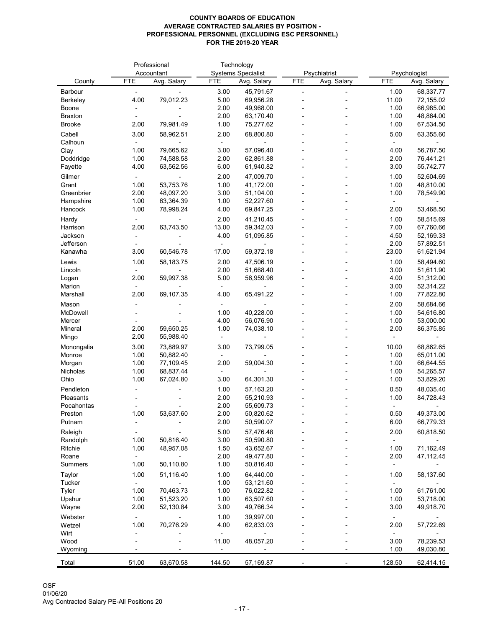|                         |              | Professional           | Technology    |                           |            |              |              |                        |
|-------------------------|--------------|------------------------|---------------|---------------------------|------------|--------------|--------------|------------------------|
|                         |              | Accountant             |               | <b>Systems Specialist</b> |            | Psychiatrist |              | Psychologist           |
| County                  | <b>FTE</b>   | Avg. Salary            | <b>FTE</b>    | Avg. Salary               | <b>FTE</b> | Avg. Salary  | <b>FTE</b>   | Avg. Salary            |
| <b>Barbour</b>          |              |                        | 3.00          | 45,791.67                 |            |              | 1.00         | 68,337.77              |
| <b>Berkeley</b>         | 4.00         | 79,012.23              | 5.00          | 69,956.28                 |            |              | 11.00        | 72,155.02              |
| <b>Boone</b>            |              |                        | 2.00          | 49,968.00                 |            |              | 1.00         | 66,985.00              |
| <b>Braxton</b>          |              |                        | 2.00          | 63,170.40                 |            |              | 1.00         | 48,864.00              |
| <b>Brooke</b>           | 2.00         | 79,981.49              | 1.00          | 75,277.62                 |            |              | 1.00         | 67,534.50              |
| Cabell                  | 3.00         | 58,962.51              | 2.00          | 68,800.80                 |            |              | 5.00         | 63,355.60              |
| Calhoun                 |              |                        |               |                           |            |              |              |                        |
| Clay                    | 1.00         | 79,665.62              | 3.00          | 57,096.40                 |            |              | 4.00         | 56,787.50              |
| Doddridge               | 1.00         | 74,588.58              | 2.00          | 62,861.88                 |            |              | 2.00         | 76,441.21              |
| Fayette                 | 4.00         | 63,562.56              | 6.00          | 61,940.82                 |            |              | 3.00         | 55,742.77              |
| Gilmer                  |              |                        | 2.00          | 47,009.70                 |            |              | 1.00         | 52,604.69              |
| Grant                   | 1.00         | 53,753.76              | 1.00          | 41,172.00                 |            |              | 1.00         | 48,810.00              |
| Greenbrier<br>Hampshire | 2.00<br>1.00 | 48,097.20<br>63,364.39 | 3.00<br>1.00  | 51,104.00<br>52,227.60    |            |              | 1.00         | 78,549.90              |
| Hancock                 | 1.00         | 78,998.24              | 4.00          | 69,847.25                 |            |              | 2.00         | 53,468.50              |
|                         |              |                        |               |                           |            |              |              |                        |
| Hardy<br>Harrison       | 2.00         | 63,743.50              | 2.00<br>13.00 | 41,210.45<br>59,342.03    |            |              | 1.00<br>7.00 | 58,515.69<br>67,760.66 |
| Jackson                 |              |                        | 4.00          | 51,095.85                 |            |              | 4.50         | 52,169.33              |
| Jefferson               |              |                        |               |                           |            |              | 2.00         | 57,892.51              |
| Kanawha                 | 3.00         | 60,546.78              | 17.00         | 59,372.18                 |            |              | 23.00        | 61,621.94              |
| Lewis                   | 1.00         | 58,183.75              | 2.00          | 47,506.19                 |            |              | 1.00         | 58,494.60              |
| Lincoln                 |              |                        | 2.00          | 51,668.40                 |            |              | 3.00         | 51,611.90              |
| Logan                   | 2.00         | 59,997.38              | 5.00          | 56,959.96                 |            |              | 4.00         | 51,312.00              |
| Marion                  |              |                        |               |                           |            |              | 3.00         | 52,314.22              |
| Marshall                | 2.00         | 69,107.35              | 4.00          | 65,491.22                 |            |              | 1.00         | 77,822.80              |
| Mason                   |              |                        |               |                           |            |              | 2.00         | 58,684.66              |
| McDowell                |              |                        | 1.00          | 40,228.00                 |            |              | 1.00         | 54,616.80              |
| Mercer                  |              |                        | 4.00          | 56,076.90                 |            |              | 1.00         | 53,000.00              |
| Mineral                 | 2.00         | 59,650.25              | 1.00          | 74,038.10                 |            |              | 2.00         | 86,375.85              |
| Mingo                   | 2.00         | 55,988.40              |               |                           |            |              |              |                        |
| Monongalia              | 3.00         | 73,889.97              | 3.00          | 73,799.05                 |            |              | 10.00        | 68,862.65              |
| Monroe                  | 1.00         | 50,882.40              |               |                           |            |              | 1.00         | 65,011.00              |
| Morgan                  | 1.00         | 77,109.45              | 2.00          | 59,004.30                 |            |              | 1.00         | 66,644.55              |
| <b>Nicholas</b>         | 1.00         | 68,837.44              |               |                           |            |              | 1.00         | 54,265.57              |
| Ohio                    | 1.00         | 67,024.80              | 3.00          | 64,301.30                 |            |              | 1.00         | 53,829.20              |
| Pendleton               |              |                        | 1.00          | 57,163.20                 |            |              | 0.50         | 48,035.40              |
| Pleasants               |              |                        | 2.00          | 55,210.93                 |            |              | 1.00         | 84,728.43              |
| Pocahontas              |              |                        | 2.00          | 55,609.73                 |            |              |              |                        |
| Preston                 | 1.00         | 53,637.60              | 2.00          | 50,820.62                 |            |              | 0.50         | 49,373.00              |
| Putnam                  |              |                        | 2.00          | 50,590.07                 |            |              | 6.00         | 66,779.33              |
| Raleigh                 |              |                        | 5.00          | 57,476.48                 |            |              | 2.00         | 60,818.50              |
| Randolph                | 1.00         | 50,816.40              | 3.00          | 50,590.80                 |            |              |              |                        |
| Ritchie                 | 1.00         | 48,957.08              | 1.50          | 43,652.67                 |            |              | 1.00         | 71,162.49              |
| Roane                   |              |                        | 2.00          | 49,477.80                 |            |              | 2.00         | 47,112.45              |
| <b>Summers</b>          | 1.00         | 50,110.80              | 1.00          | 50,816.40                 |            |              |              |                        |
| Taylor                  | 1.00         | 51,116.40              | 1.00          | 64,440.00                 |            |              | 1.00         | 58,137.60              |
| <b>Tucker</b>           |              |                        | 1.00          | 53,121.60                 |            |              |              |                        |
| <b>Tyler</b>            | 1.00         | 70,463.73              | 1.00          | 76,022.82                 |            |              | 1.00         | 61,761.00              |
| Upshur                  | 1.00         | 51,523.20              | 1.00          | 63,507.60                 |            |              | 1.00         | 53,718.00              |
| Wayne                   | 2.00         | 52,130.84              | 3.00          | 49,766.34                 |            |              | 3.00         | 49,918.70              |
| Webster                 |              |                        | 1.00          | 39,997.00                 |            |              |              |                        |
| Wetzel                  | 1.00         | 70,276.29              | 4.00          | 62,833.03                 |            |              | 2.00         | 57,722.69              |
| Wirt                    |              |                        |               | 48,057.20                 |            |              | 3.00         | 78,239.53              |
| Wood<br>Wyoming         |              |                        | 11.00         |                           |            |              | 1.00         | 49,030.80              |
|                         |              |                        |               |                           |            |              |              |                        |
| Total                   | 51.00        | 63,670.58              | 144.50        | 57,169.87                 |            |              | 128.50       | 62,414.15              |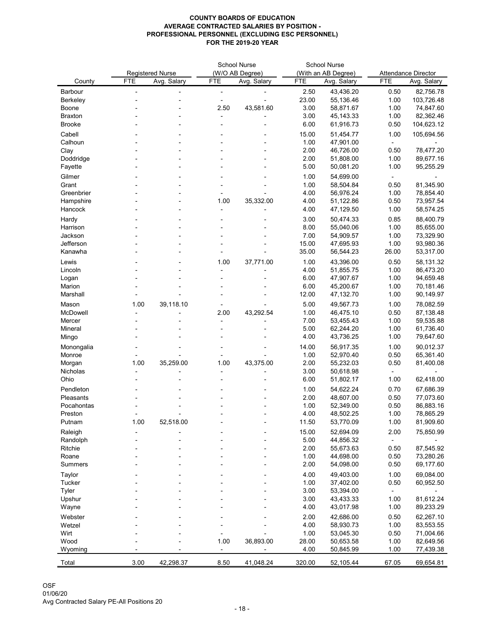|                 |            |                         | <b>School Nurse</b> |                 | <b>School Nurse</b> |                     |            |                            |
|-----------------|------------|-------------------------|---------------------|-----------------|---------------------|---------------------|------------|----------------------------|
|                 |            | <b>Registered Nurse</b> |                     | (W/O AB Degree) |                     | (With an AB Degree) |            | <b>Attendance Director</b> |
| County          | <b>FTE</b> | Avg. Salary             | <b>FTE</b>          | Avg. Salary     | <b>FTE</b>          | Avg. Salary         | <b>FTE</b> | Avg. Salary                |
| <b>Barbour</b>  |            |                         |                     |                 | 2.50                | 43,436.20           | 0.50       | 82,756.78                  |
| <b>Berkeley</b> |            |                         |                     |                 | 23.00               | 55,136.46           | 1.00       | 103,726.48                 |
| Boone           |            |                         | 2.50                | 43,581.60       | 3.00                | 58,871.67           | 1.00       | 74,847.60                  |
| <b>Braxton</b>  |            |                         |                     |                 | 3.00                | 45, 143. 33         | 1.00       | 82,362.46                  |
| <b>Brooke</b>   |            |                         |                     |                 | 6.00                | 61,916.73           | 0.50       | 104,623.12                 |
| Cabell          |            |                         |                     |                 | 15.00               | 51,454.77           | 1.00       | 105,694.56                 |
| Calhoun         |            |                         |                     |                 | 1.00                | 47,901.00           |            |                            |
| Clay            |            |                         |                     |                 | 2.00                | 46,726.00           | 0.50       | 78,477.20                  |
| Doddridge       |            |                         |                     |                 | 2.00                | 51,808.00           | 1.00       | 89,677.16                  |
| Fayette         |            |                         |                     |                 | 5.00                | 50,081.20           | 1.00       | 95,255.29                  |
| Gilmer          |            |                         |                     |                 | 1.00                | 54,699.00           |            |                            |
| Grant           |            |                         |                     |                 | 1.00                | 58,504.84           | 0.50       | 81,345.90                  |
| Greenbrier      |            |                         |                     |                 | 4.00                | 56,976.24           | 1.00       | 78,854.40                  |
| Hampshire       |            |                         | 1.00                | 35,332.00       | 4.00                | 51,122.86           | 0.50       | 73,957.54                  |
| Hancock         |            |                         |                     |                 | 4.00                | 47,129.50           | 1.00       | 58,574.25                  |
| Hardy           |            |                         |                     |                 | 3.00                | 50,474.33           | 0.85       | 88,400.79                  |
| Harrison        |            |                         |                     |                 | 8.00                | 55,040.06           | 1.00       | 85,655.00                  |
| Jackson         |            |                         |                     |                 | 7.00                | 54,909.57           | 1.00       | 73,329.90                  |
| Jefferson       |            |                         |                     |                 | 15.00               | 47,695.93           | 1.00       | 93,980.36                  |
| Kanawha         |            |                         |                     |                 | 35.00               | 56,544.23           | 26.00      | 53,317.00                  |
|                 |            |                         |                     |                 |                     |                     |            |                            |
| Lewis           |            |                         | 1.00                | 37,771.00       | 1.00                | 43,396.00           | 0.50       | 58,131.32                  |
| Lincoln         |            |                         |                     |                 | 4.00                | 51,855.75           | 1.00       | 86,473.20                  |
| Logan           |            |                         |                     |                 | 6.00                | 47,907.67           | 1.00       | 94,659.48                  |
| Marion          |            |                         |                     |                 | 6.00                | 45,200.67           | 1.00       | 70,181.46                  |
| Marshall        |            |                         |                     |                 | 12.00               | 47,132.70           | 1.00       | 90,149.97                  |
| Mason           | 1.00       | 39,118.10               |                     |                 | 5.00                | 49,567.73           | 1.00       | 78,082.59                  |
| McDowell        |            |                         | 2.00                | 43,292.54       | 1.00                | 46,475.10           | 0.50       | 87,138.48                  |
| Mercer          |            |                         |                     |                 | 7.00                | 53,455.43           | 1.00       | 59,535.88                  |
| Mineral         |            |                         |                     |                 | 5.00                | 62,244.20           | 1.00       | 61,736.40                  |
| Mingo           |            |                         |                     |                 | 4.00                | 43,736.25           | 1.00       | 79,647.60                  |
| Monongalia      |            |                         |                     |                 | 14.00               | 56,917.35           | 1.00       | 90,012.37                  |
| Monroe          |            |                         |                     |                 | 1.00                | 52,970.40           | 0.50       | 65,361.40                  |
| Morgan          | 1.00       | 35,259.00               | 1.00                | 43,375.00       | 2.00                | 55,232.03           | 0.50       | 81,400.08                  |
| <b>Nicholas</b> |            |                         |                     |                 | 3.00                | 50,618.98           |            |                            |
| Ohio            |            |                         |                     |                 | 6.00                | 51,802.17           | 1.00       | 62,418.00                  |
| Pendleton       |            |                         |                     |                 | 1.00                | 54,622.24           | 0.70       | 67,686.39                  |
| Pleasants       |            |                         |                     |                 | 2.00                | 48,607.00           | 0.50       | 77,073.60                  |
| Pocahontas      |            |                         |                     |                 | 1.00                | 52,349.00           | 0.50       | 86,883.16                  |
| Preston         |            |                         |                     |                 | 4.00                | 48,502.25           | 1.00       | 78,865.29                  |
| Putnam          | 1.00       | 52,518.00               |                     |                 | 11.50               | 53,770.09           | 1.00       | 81,909.60                  |
| Raleigh         |            |                         |                     |                 | 15.00               | 52,694.09           | 2.00       | 75,850.99                  |
| Randolph        |            |                         |                     |                 | 5.00                | 44,856.32           |            |                            |
| <b>Ritchie</b>  |            |                         |                     |                 | 2.00                | 55,673.63           | 0.50       | 87,545.92                  |
| Roane           |            |                         |                     |                 | 1.00                | 44,698.00           | 0.50       | 73,280.26                  |
| <b>Summers</b>  |            |                         |                     |                 | 2.00                | 54,098.00           | 0.50       | 69,177.60                  |
| <b>Taylor</b>   |            |                         |                     |                 | 4.00                | 49,403.00           | 1.00       | 69,084.00                  |
| <b>Tucker</b>   |            |                         |                     |                 | 1.00                | 37,402.00           | 0.50       | 60,952.50                  |
| <b>Tyler</b>    |            |                         |                     |                 | 3.00                | 53,394.00           |            |                            |
| Upshur          |            |                         |                     |                 | 3.00                | 43,433.33           | 1.00       | 81,612.24                  |
| Wayne           |            |                         |                     |                 | 4.00                | 43,017.98           | 1.00       | 89,233.29                  |
| Webster         |            |                         |                     |                 | 2.00                | 42,686.00           | 0.50       | 62,267.10                  |
| Wetzel          |            |                         |                     |                 | 4.00                | 58,930.73           | 1.00       | 83,553.55                  |
| Wirt            |            |                         |                     |                 | 1.00                | 53,045.30           | 0.50       | 71,004.66                  |
| Wood            |            |                         | 1.00                | 36,893.00       | 28.00               | 50,653.58           | 1.00       | 82,649.56                  |
| Wyoming         |            |                         |                     |                 | 4.00                | 50,845.99           | 1.00       | 77,439.38                  |
|                 |            |                         |                     |                 |                     |                     |            |                            |
| Total           | 3.00       | 42,298.37               | 8.50                | 41,048.24       | 320.00              | 52,105.44           | 67.05      | 69,654.81                  |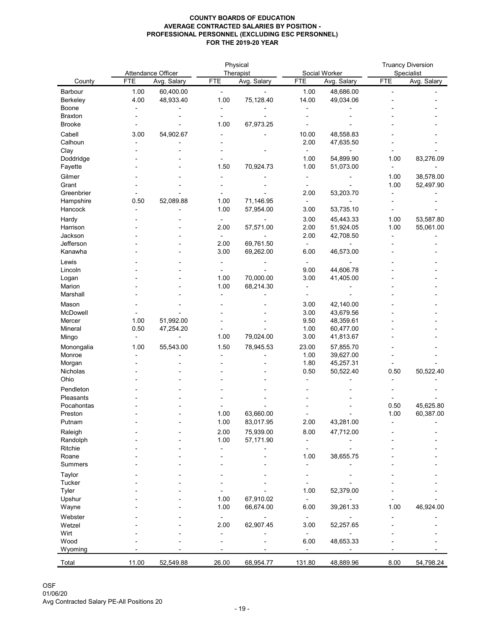|                                   |              |                        |              | Physical               |               | <b>Truancy Diversion</b> |            |             |
|-----------------------------------|--------------|------------------------|--------------|------------------------|---------------|--------------------------|------------|-------------|
|                                   |              | Attendance Officer     |              | Therapist              |               | Social Worker            |            | Specialist  |
| County                            | <b>FTE</b>   | Avg. Salary            | <b>FTE</b>   | Avg. Salary            | <b>FTE</b>    | Avg. Salary              | <b>FTE</b> | Avg. Salary |
| <b>Barbour</b><br><b>Berkeley</b> | 1.00<br>4.00 | 60,400.00<br>48,933.40 | 1.00         | 75,128.40              | 1.00<br>14.00 | 48,686.00<br>49,034.06   |            |             |
| Boone                             |              |                        |              |                        |               |                          |            |             |
| <b>Braxton</b>                    |              |                        |              |                        |               |                          |            |             |
| <b>Brooke</b>                     |              |                        | 1.00         | 67,973.25              |               |                          |            |             |
| Cabell                            | 3.00         | 54,902.67              |              |                        | 10.00         | 48,558.83                |            |             |
| Calhoun                           |              |                        |              |                        | 2.00          | 47,635.50                |            |             |
| Clay                              |              |                        |              |                        |               |                          |            |             |
| Doddridge                         |              |                        |              |                        | 1.00          | 54,899.90                | 1.00       | 83,276.09   |
| Fayette                           |              |                        | 1.50         | 70,924.73              | 1.00          | 51,073.00                |            |             |
| Gilmer                            |              |                        |              |                        |               |                          | 1.00       | 38,578.00   |
| Grant                             |              |                        |              |                        |               |                          | 1.00       | 52,497.90   |
| Greenbrier<br>Hampshire           | 0.50         | 52,089.88              | 1.00         | 71,146.95              | 2.00          | 53,203.70                |            |             |
| Hancock                           |              |                        | 1.00         | 57,954.00              | 3.00          | 53,735.10                |            |             |
| Hardy                             |              |                        |              |                        | 3.00          | 45,443.33                | 1.00       | 53,587.80   |
| Harrison                          |              |                        | 2.00         | 57,571.00              | 2.00          | 51,924.05                | 1.00       | 55,061.00   |
| Jackson                           |              |                        |              |                        | 2.00          | 42,708.50                |            |             |
| Jefferson                         |              |                        | 2.00         | 69,761.50              |               |                          |            |             |
| Kanawha                           |              |                        | 3.00         | 69,262.00              | 6.00          | 46,573.00                |            |             |
| Lewis                             |              |                        |              |                        |               |                          |            |             |
| Lincoln                           |              |                        |              |                        | 9.00          | 44,606.78                |            |             |
| Logan                             |              |                        | 1.00         | 70,000.00              | 3.00          | 41,405.00                |            |             |
| Marion                            |              |                        | 1.00         | 68,214.30              |               |                          |            |             |
| Marshall                          |              |                        |              |                        |               |                          |            |             |
| Mason                             |              |                        |              |                        | 3.00          | 42,140.00                |            |             |
| McDowell<br>Mercer                | 1.00         | 51,992.00              |              |                        | 3.00<br>9.50  | 43,679.56<br>48,359.61   |            |             |
| Mineral                           | 0.50         | 47,254.20              |              |                        | 1.00          | 60,477.00                |            |             |
| Mingo                             |              |                        | 1.00         | 79,024.00              | 3.00          | 41,813.67                |            |             |
| Monongalia                        | 1.00         | 55,543.00              | 1.50         | 78,945.53              | 23.00         | 57,855.70                |            |             |
| Monroe                            |              |                        |              |                        | 1.00          | 39,627.00                |            |             |
| Morgan                            |              |                        |              |                        | 1.80          | 45,257.31                |            |             |
| Nicholas                          |              |                        |              |                        | 0.50          | 50,522.40                | 0.50       | 50,522.40   |
| Ohio                              |              |                        |              |                        |               |                          |            |             |
| Pendleton                         |              |                        |              |                        |               |                          |            |             |
| Pleasants                         |              |                        |              |                        |               |                          |            |             |
| Pocahontas                        |              |                        |              |                        |               |                          | 0.50       | 45,625.80   |
| Preston<br>Putnam                 |              |                        | 1.00<br>1.00 | 63,660.00<br>83,017.95 | 2.00          | 43,281.00                | 1.00       | 60,387.00   |
|                                   |              |                        |              |                        |               |                          |            |             |
| Raleigh<br>Randolph               |              |                        | 2.00<br>1.00 | 75,939.00<br>57,171.90 | 8.00          | 47,712.00                |            |             |
| Ritchie                           |              |                        |              |                        |               |                          |            |             |
| Roane                             |              |                        |              |                        | 1.00          | 38,655.75                |            |             |
| <b>Summers</b>                    |              |                        |              |                        |               |                          |            |             |
| <b>Taylor</b>                     |              |                        |              |                        |               |                          |            |             |
| <b>Tucker</b>                     |              |                        |              |                        |               |                          |            |             |
| <b>Tyler</b>                      |              |                        |              |                        | 1.00          | 52,379.00                |            |             |
| Upshur                            |              |                        | 1.00         | 67,910.02              |               |                          |            |             |
| Wayne                             |              |                        | 1.00         | 66,674.00              | 6.00          | 39,261.33                | 1.00       | 46,924.00   |
| Webster                           |              |                        |              |                        |               |                          |            |             |
| Wetzel                            |              |                        | 2.00         | 62,907.45              | 3.00          | 52,257.65                |            |             |
| Wirt<br>Wood                      |              |                        |              |                        | 6.00          | 48,653.33                |            |             |
| Wyoming                           |              |                        |              |                        |               |                          |            |             |
|                                   |              |                        |              |                        |               |                          |            |             |
| Total                             | 11.00        | 52,549.88              | 26.00        | 68,954.77              | 131.80        | 48,889.96                | 8.00       | 54,798.24   |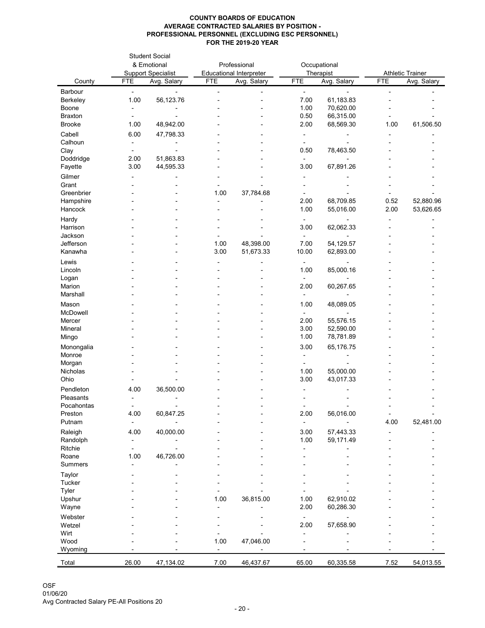|                         | <b>Student Social</b><br>& Emotional<br><b>Support Specialist</b> |             |            | Professional<br><b>Educational Interpreter</b> |              | Occupational             | <b>Athletic Trainer</b> |             |
|-------------------------|-------------------------------------------------------------------|-------------|------------|------------------------------------------------|--------------|--------------------------|-------------------------|-------------|
| County                  | <b>FTE</b>                                                        | Avg. Salary | <b>FTE</b> | Avg. Salary                                    | <b>FTE</b>   | Therapist<br>Avg. Salary | <b>FTE</b>              | Avg. Salary |
| Barbour                 |                                                                   |             |            |                                                |              |                          |                         |             |
| Berkeley                | 1.00                                                              | 56,123.76   |            |                                                | 7.00         | 61,183.83                |                         |             |
| Boone                   |                                                                   |             |            |                                                | 1.00         | 70,620.00                |                         |             |
| <b>Braxton</b>          |                                                                   |             |            |                                                | 0.50         | 66,315.00                |                         |             |
| <b>Brooke</b>           | 1.00                                                              | 48,942.00   |            |                                                | 2.00         | 68,569.30                | 1.00                    | 61,506.50   |
| Cabell                  | 6.00                                                              | 47,798.33   |            |                                                |              |                          |                         |             |
| Calhoun                 |                                                                   |             |            |                                                |              |                          |                         |             |
| Clay                    |                                                                   |             |            |                                                | 0.50         | 78,463.50                |                         |             |
| Doddridge               | 2.00                                                              | 51,863.83   |            |                                                |              |                          |                         |             |
| Fayette                 | 3.00                                                              | 44,595.33   |            |                                                | 3.00         | 67,891.26                |                         |             |
| Gilmer                  |                                                                   |             |            |                                                |              |                          |                         |             |
| Grant<br>Greenbrier     |                                                                   |             | 1.00       | 37,784.68                                      |              |                          |                         |             |
| Hampshire               |                                                                   |             |            |                                                | 2.00         | 68,709.85                | 0.52                    | 52,880.96   |
| Hancock                 |                                                                   |             |            |                                                | 1.00         | 55,016.00                | 2.00                    | 53,626.65   |
| Hardy                   |                                                                   |             |            |                                                |              |                          |                         |             |
| Harrison                |                                                                   |             |            |                                                | 3.00         | 62,062.33                |                         |             |
| Jackson                 |                                                                   |             |            |                                                |              |                          |                         |             |
| Jefferson               |                                                                   |             | 1.00       | 48,398.00                                      | 7.00         | 54,129.57                |                         |             |
| Kanawha                 |                                                                   |             | 3.00       | 51,673.33                                      | 10.00        | 62,893.00                |                         |             |
| Lewis                   |                                                                   |             |            |                                                |              |                          |                         |             |
| Lincoln                 |                                                                   |             |            |                                                | 1.00         | 85,000.16                |                         |             |
| Logan                   |                                                                   |             |            |                                                |              |                          |                         |             |
| Marion<br>Marshall      |                                                                   |             |            |                                                | 2.00         | 60,267.65                |                         |             |
|                         |                                                                   |             |            |                                                |              |                          |                         |             |
| Mason<br>McDowell       |                                                                   |             |            |                                                | 1.00         | 48,089.05                |                         |             |
| Mercer                  |                                                                   |             |            |                                                | 2.00         | 55,576.15                |                         |             |
| Mineral                 |                                                                   |             |            |                                                | 3.00         | 52,590.00                |                         |             |
| Mingo                   |                                                                   |             |            |                                                | 1.00         | 78,781.89                |                         |             |
| Monongalia              |                                                                   |             |            |                                                | 3.00         | 65,176.75                |                         |             |
| Monroe                  |                                                                   |             |            |                                                |              |                          |                         |             |
| Morgan                  |                                                                   |             |            |                                                |              |                          |                         |             |
| Nicholas                |                                                                   |             |            |                                                | 1.00         | 55,000.00                |                         |             |
| Ohio                    |                                                                   |             |            |                                                | 3.00         | 43,017.33                |                         |             |
| Pendleton               | 4.00                                                              | 36,500.00   |            |                                                |              |                          |                         |             |
| Pleasants<br>Pocahontas |                                                                   |             |            |                                                |              |                          |                         |             |
| Preston                 | 4.00                                                              | 60,847.25   |            |                                                | 2.00         | 56,016.00                |                         |             |
| Putnam                  |                                                                   |             |            |                                                |              |                          | 4.00                    | 52,481.00   |
| Raleigh                 | 4.00                                                              | 40,000.00   |            |                                                | 3.00         | 57,443.33                |                         |             |
| Randolph                |                                                                   |             |            |                                                | 1.00         | 59,171.49                |                         |             |
| Ritchie                 |                                                                   |             |            |                                                |              |                          |                         |             |
| Roane                   | 1.00                                                              | 46,726.00   |            |                                                |              |                          |                         |             |
| <b>Summers</b>          |                                                                   |             |            |                                                |              |                          |                         |             |
| Taylor                  |                                                                   |             |            |                                                |              |                          |                         |             |
| <b>Tucker</b>           |                                                                   |             |            |                                                |              |                          |                         |             |
| <b>Tyler</b>            |                                                                   |             |            |                                                |              |                          |                         |             |
| Upshur<br>Wayne         |                                                                   |             | 1.00       | 36,815.00                                      | 1.00<br>2.00 | 62,910.02<br>60,286.30   |                         |             |
| Webster                 |                                                                   |             |            |                                                |              |                          |                         |             |
| Wetzel                  |                                                                   |             |            |                                                | 2.00         | 57,658.90                |                         |             |
| Wirt                    |                                                                   |             |            |                                                |              |                          |                         |             |
| Wood                    |                                                                   |             | 1.00       | 47,046.00                                      |              |                          |                         |             |
| Wyoming                 |                                                                   |             |            |                                                |              |                          |                         |             |
| Total                   | 26.00                                                             | 47,134.02   | 7.00       | 46,437.67                                      | 65.00        | 60,335.58                | 7.52                    | 54,013.55   |